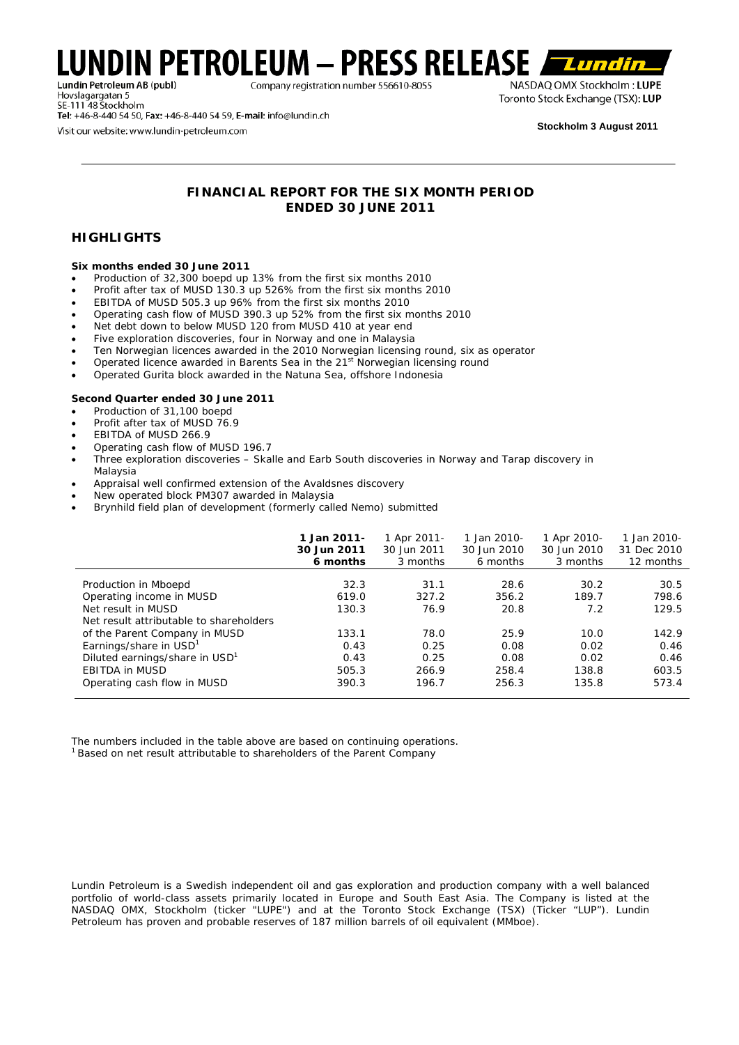# LUNDIN PETROLEUM -- PRESS RELEASE NASDAO OMX Stockholm: LUPE

Company registration number 556610-8055

Lundin Petroleum AB (publ) Hovslagargatan 5 SE-111 48 Stockholm Tel: +46-8-440 54 50, Fax: +46-8-440 54 59, E-mail: info@lundin.ch Visit our website: www.lundin-petroleum.com

**Stockholm 3 August 2011**

Toronto Stock Exchange (TSX): LUP

Lundi

## **FINANCIAL REPORT FOR THE SIX MONTH PERIOD ENDED 30 JUNE 2011**

## **HIGHLIGHTS**

## **Six months ended 30 June 2011**

- Production of 32,300 boepd up 13% from the first six months 2010
- Profit after tax of MUSD 130.3 up 526% from the first six months 2010
- EBITDA of MUSD 505.3 up 96% from the first six months 2010
- Operating cash flow of MUSD 390.3 up 52% from the first six months 2010
- Net debt down to below MUSD 120 from MUSD 410 at year end
- Five exploration discoveries, four in Norway and one in Malaysia
- Ten Norwegian licences awarded in the 2010 Norwegian licensing round, six as operator
- Operated licence awarded in Barents Sea in the 21<sup>st</sup> Norwegian licensing round
- Operated Gurita block awarded in the Natuna Sea, offshore Indonesia

## **Second Quarter ended 30 June 2011**

- Production of 31,100 boepd
- Profit after tax of MUSD 76.9
- EBITDA of MUSD 266.9
- Operating cash flow of MUSD 196.7
- Three exploration discoveries Skalle and Earb South discoveries in Norway and Tarap discovery in Malaysia
- Appraisal well confirmed extension of the Avaldsnes discovery
- New operated block PM307 awarded in Malaysia
- Brynhild field plan of development (formerly called Nemo) submitted

|                                            | 1 Jan 2011-<br>30 Jun 2011<br>6 months | 1 Apr 2011-<br>30 Jun 2011<br>3 months | 1 Jan 2010-<br>30 Jun 2010<br>6 months | 1 Apr 2010-<br>30 Jun 2010<br>3 months | 1 Jan 2010-<br>31 Dec 2010<br>12 months |
|--------------------------------------------|----------------------------------------|----------------------------------------|----------------------------------------|----------------------------------------|-----------------------------------------|
| Production in Mboepd                       | 32.3                                   | 31.1                                   | 28.6                                   | 30.2                                   | 30.5                                    |
| Operating income in MUSD                   | 619.0                                  | 327.2                                  | 356.2                                  | 189.7                                  | 798.6                                   |
| Net result in MUSD                         | 130.3                                  | 76.9                                   | 20.8                                   | 7.2                                    | 129.5                                   |
| Net result attributable to shareholders    |                                        |                                        |                                        |                                        |                                         |
| of the Parent Company in MUSD              | 133.1                                  | 78.0                                   | 25.9                                   | 10.0                                   | 142.9                                   |
| Earnings/share in USD <sup>1</sup>         | 0.43                                   | 0.25                                   | 0.08                                   | 0.02                                   | 0.46                                    |
| Diluted earnings/share in USD <sup>1</sup> | 0.43                                   | 0.25                                   | 0.08                                   | 0.02                                   | 0.46                                    |
| <b>EBITDA in MUSD</b>                      | 505.3                                  | 266.9                                  | 258.4                                  | 138.8                                  | 603.5                                   |
| Operating cash flow in MUSD                | 390.3                                  | 196.7                                  | 256.3                                  | 135.8                                  | 573.4                                   |

The numbers included in the table above are based on continuing operations.<br><sup>1</sup> Based on net result attributable to shareholders of the Parent Company

*Lundin Petroleum is a Swedish independent oil and gas exploration and production company with a well balanced*  portfolio of world-class assets primarily located in Europe and South East Asia. The Company is listed at the *NASDAQ OMX, Stockholm (ticker "LUPE") and at the Toronto Stock Exchange (TSX) (Ticker "LUP"). Lundin Petroleum has proven and probable reserves of 187 million barrels of oil equivalent (MMboe).*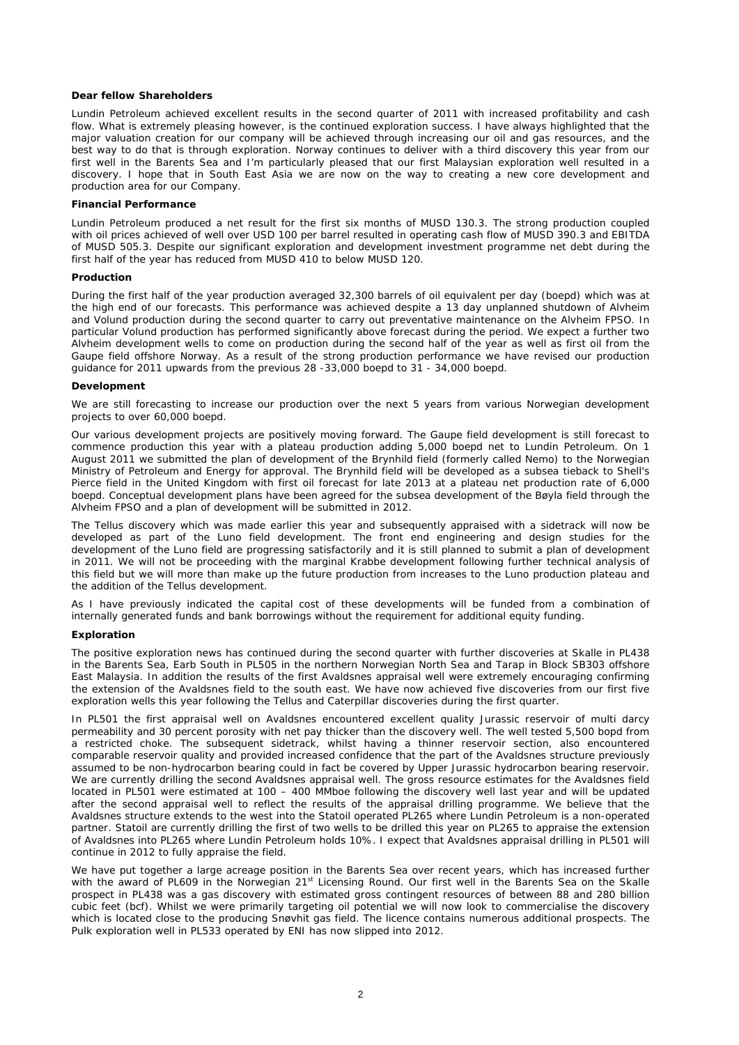### **Dear fellow Shareholders**

Lundin Petroleum achieved excellent results in the second quarter of 2011 with increased profitability and cash flow. What is extremely pleasing however, is the continued exploration success. I have always highlighted that the major valuation creation for our company will be achieved through increasing our oil and gas resources, and the best way to do that is through exploration. Norway continues to deliver with a third discovery this year from our first well in the Barents Sea and I'm particularly pleased that our first Malaysian exploration well resulted in a discovery. I hope that in South East Asia we are now on the way to creating a new core development and production area for our Company.

#### **Financial Performance**

Lundin Petroleum produced a net result for the first six months of MUSD 130.3. The strong production coupled with oil prices achieved of well over USD 100 per barrel resulted in operating cash flow of MUSD 390.3 and EBITDA of MUSD 505.3. Despite our significant exploration and development investment programme net debt during the first half of the year has reduced from MUSD 410 to below MUSD 120.

### **Production**

During the first half of the year production averaged 32,300 barrels of oil equivalent per day (boepd) which was at the high end of our forecasts. This performance was achieved despite a 13 day unplanned shutdown of Alvheim and Volund production during the second quarter to carry out preventative maintenance on the Alvheim FPSO. In particular Volund production has performed significantly above forecast during the period. We expect a further two Alvheim development wells to come on production during the second half of the year as well as first oil from the Gaupe field offshore Norway. As a result of the strong production performance we have revised our production guidance for 2011 upwards from the previous 28 -33,000 boepd to 31 - 34,000 boepd.

### **Development**

We are still forecasting to increase our production over the next 5 years from various Norwegian development projects to over 60,000 boepd.

Our various development projects are positively moving forward. The Gaupe field development is still forecast to commence production this year with a plateau production adding 5,000 boepd net to Lundin Petroleum. On 1 August 2011 we submitted the plan of development of the Brynhild field (formerly called Nemo) to the Norwegian Ministry of Petroleum and Energy for approval. The Brynhild field will be developed as a subsea tieback to Shell's Pierce field in the United Kingdom with first oil forecast for late 2013 at a plateau net production rate of 6,000 boepd. Conceptual development plans have been agreed for the subsea development of the Bøyla field through the Alvheim FPSO and a plan of development will be submitted in 2012.

The Tellus discovery which was made earlier this year and subsequently appraised with a sidetrack will now be developed as part of the Luno field development. The front end engineering and design studies for the development of the Luno field are progressing satisfactorily and it is still planned to submit a plan of development in 2011. We will not be proceeding with the marginal Krabbe development following further technical analysis of this field but we will more than make up the future production from increases to the Luno production plateau and the addition of the Tellus development.

As I have previously indicated the capital cost of these developments will be funded from a combination of internally generated funds and bank borrowings without the requirement for additional equity funding.

## **Exploration**

The positive exploration news has continued during the second quarter with further discoveries at Skalle in PL438 in the Barents Sea, Earb South in PL505 in the northern Norwegian North Sea and Tarap in Block SB303 offshore East Malaysia. In addition the results of the first Avaldsnes appraisal well were extremely encouraging confirming the extension of the Avaldsnes field to the south east. We have now achieved five discoveries from our first five exploration wells this year following the Tellus and Caterpillar discoveries during the first quarter.

In PL501 the first appraisal well on Avaldsnes encountered excellent quality Jurassic reservoir of multi darcy permeability and 30 percent porosity with net pay thicker than the discovery well. The well tested 5,500 bopd from a restricted choke. The subsequent sidetrack, whilst having a thinner reservoir section, also encountered comparable reservoir quality and provided increased confidence that the part of the Avaldsnes structure previously assumed to be non-hydrocarbon bearing could in fact be covered by Upper Jurassic hydrocarbon bearing reservoir. We are currently drilling the second Avaldsnes appraisal well. The gross resource estimates for the Avaldsnes field located in PL501 were estimated at 100 – 400 MMboe following the discovery well last year and will be updated after the second appraisal well to reflect the results of the appraisal drilling programme. We believe that the Avaldsnes structure extends to the west into the Statoil operated PL265 where Lundin Petroleum is a non-operated partner. Statoil are currently drilling the first of two wells to be drilled this year on PL265 to appraise the extension of Avaldsnes into PL265 where Lundin Petroleum holds 10%. I expect that Avaldsnes appraisal drilling in PL501 will continue in 2012 to fully appraise the field.

We have put together a large acreage position in the Barents Sea over recent years, which has increased further with the award of PL609 in the Norwegian 21<sup>st</sup> Licensing Round. Our first well in the Barents Sea on the Skalle prospect in PL438 was a gas discovery with estimated gross contingent resources of between 88 and 280 billion cubic feet (bcf). Whilst we were primarily targeting oil potential we will now look to commercialise the discovery which is located close to the producing Snøvhit gas field. The licence contains numerous additional prospects. The Pulk exploration well in PL533 operated by ENI has now slipped into 2012.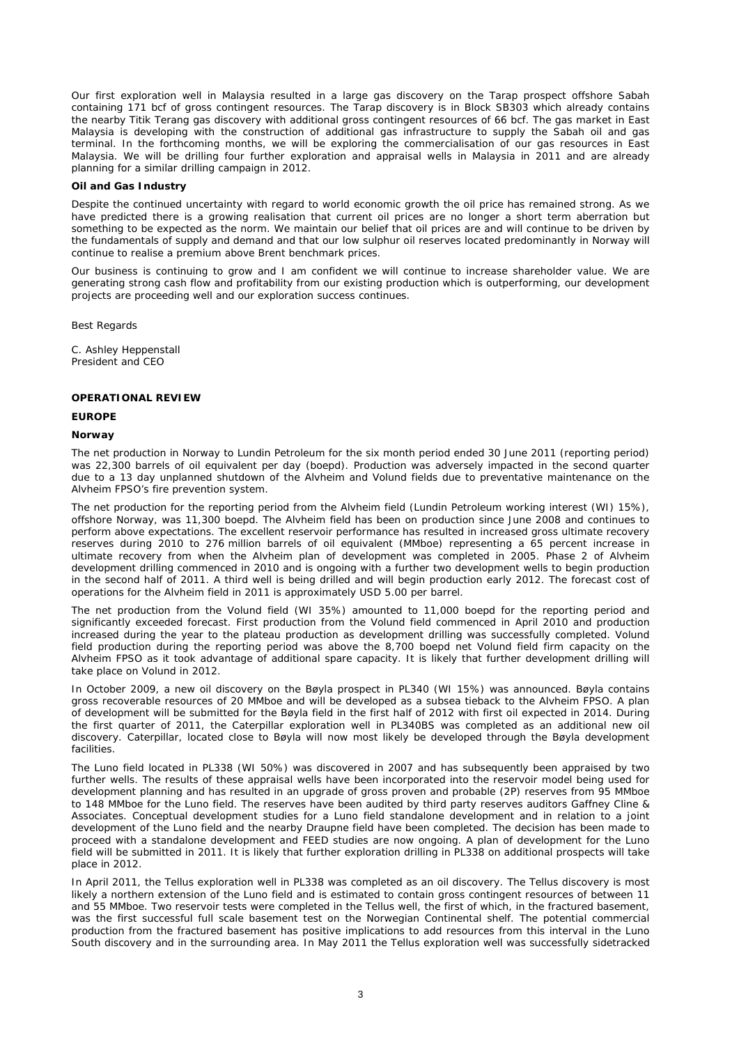Our first exploration well in Malaysia resulted in a large gas discovery on the Tarap prospect offshore Sabah containing 171 bcf of gross contingent resources. The Tarap discovery is in Block SB303 which already contains the nearby Titik Terang gas discovery with additional gross contingent resources of 66 bcf. The gas market in East Malaysia is developing with the construction of additional gas infrastructure to supply the Sabah oil and gas terminal. In the forthcoming months, we will be exploring the commercialisation of our gas resources in East Malaysia. We will be drilling four further exploration and appraisal wells in Malaysia in 2011 and are already planning for a similar drilling campaign in 2012.

## **Oil and Gas Industry**

Despite the continued uncertainty with regard to world economic growth the oil price has remained strong. As we have predicted there is a growing realisation that current oil prices are no longer a short term aberration but something to be expected as the norm. We maintain our belief that oil prices are and will continue to be driven by the fundamentals of supply and demand and that our low sulphur oil reserves located predominantly in Norway will continue to realise a premium above Brent benchmark prices.

Our business is continuing to grow and I am confident we will continue to increase shareholder value. We are generating strong cash flow and profitability from our existing production which is outperforming, our development projects are proceeding well and our exploration success continues.

Best Regards

C. Ashley Heppenstall President and CEO

## **OPERATIONAL REVIEW**

## **EUROPE**

#### **Norway**

The net production in Norway to Lundin Petroleum for the six month period ended 30 June 2011 (reporting period) was 22,300 barrels of oil equivalent per day (boepd). Production was adversely impacted in the second quarter due to a 13 day unplanned shutdown of the Alvheim and Volund fields due to preventative maintenance on the Alvheim FPSO's fire prevention system.

The net production for the reporting period from the Alvheim field (Lundin Petroleum working interest (WI) 15%), offshore Norway, was 11,300 boepd. The Alvheim field has been on production since June 2008 and continues to perform above expectations. The excellent reservoir performance has resulted in increased gross ultimate recovery reserves during 2010 to 276 million barrels of oil equivalent (MMboe) representing a 65 percent increase in ultimate recovery from when the Alvheim plan of development was completed in 2005. Phase 2 of Alvheim development drilling commenced in 2010 and is ongoing with a further two development wells to begin production in the second half of 2011. A third well is being drilled and will begin production early 2012. The forecast cost of operations for the Alvheim field in 2011 is approximately USD 5.00 per barrel.

The net production from the Volund field (WI 35%) amounted to 11,000 boepd for the reporting period and significantly exceeded forecast. First production from the Volund field commenced in April 2010 and production increased during the year to the plateau production as development drilling was successfully completed. Volund field production during the reporting period was above the 8,700 boepd net Volund field firm capacity on the Alvheim FPSO as it took advantage of additional spare capacity. It is likely that further development drilling will take place on Volund in 2012.

In October 2009, a new oil discovery on the Bøyla prospect in PL340 (WI 15%) was announced. Bøyla contains gross recoverable resources of 20 MMboe and will be developed as a subsea tieback to the Alvheim FPSO. A plan of development will be submitted for the Bøyla field in the first half of 2012 with first oil expected in 2014. During the first quarter of 2011, the Caterpillar exploration well in PL340BS was completed as an additional new oil discovery. Caterpillar, located close to Bøyla will now most likely be developed through the Bøyla development facilities.

The Luno field located in PL338 (WI 50%) was discovered in 2007 and has subsequently been appraised by two further wells. The results of these appraisal wells have been incorporated into the reservoir model being used for development planning and has resulted in an upgrade of gross proven and probable (2P) reserves from 95 MMboe to 148 MMboe for the Luno field. The reserves have been audited by third party reserves auditors Gaffney Cline & Associates. Conceptual development studies for a Luno field standalone development and in relation to a joint development of the Luno field and the nearby Draupne field have been completed. The decision has been made to proceed with a standalone development and FEED studies are now ongoing. A plan of development for the Luno field will be submitted in 2011. It is likely that further exploration drilling in PL338 on additional prospects will take place in 2012.

In April 2011, the Tellus exploration well in PL338 was completed as an oil discovery. The Tellus discovery is most likely a northern extension of the Luno field and is estimated to contain gross contingent resources of between 11 and 55 MMboe. Two reservoir tests were completed in the Tellus well, the first of which, in the fractured basement, was the first successful full scale basement test on the Norwegian Continental shelf. The potential commercial production from the fractured basement has positive implications to add resources from this interval in the Luno South discovery and in the surrounding area. In May 2011 the Tellus exploration well was successfully sidetracked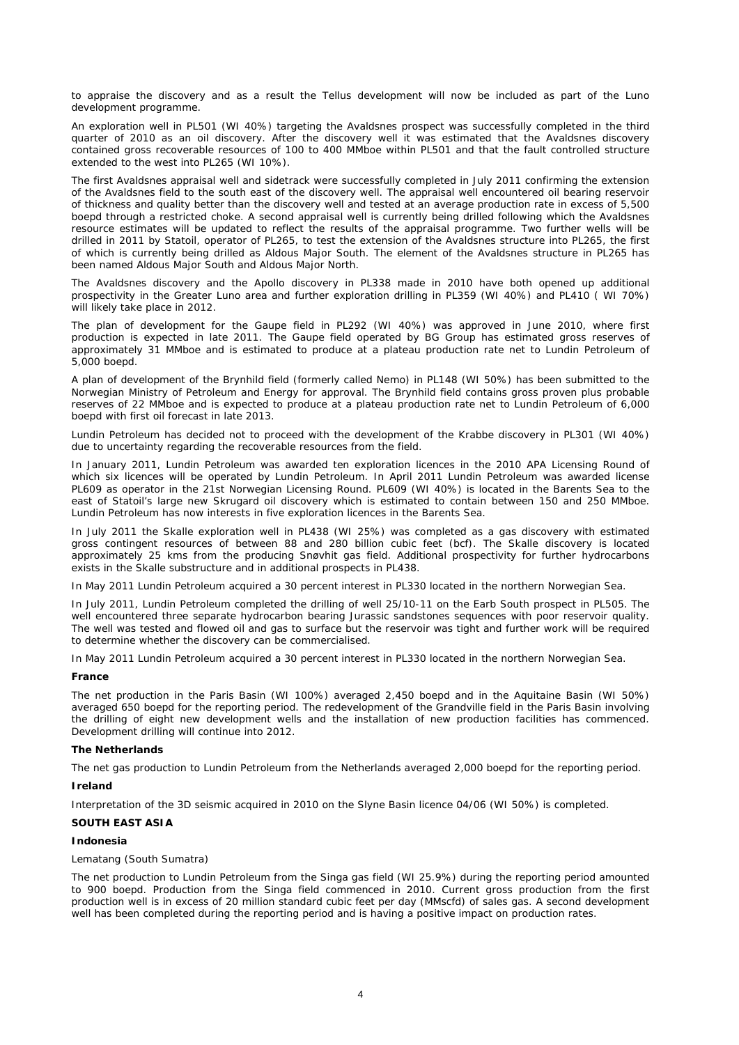to appraise the discovery and as a result the Tellus development will now be included as part of the Luno development programme.

An exploration well in PL501 (WI 40%) targeting the Avaldsnes prospect was successfully completed in the third quarter of 2010 as an oil discovery. After the discovery well it was estimated that the Avaldsnes discovery contained gross recoverable resources of 100 to 400 MMboe within PL501 and that the fault controlled structure extended to the west into PL265 (WI 10%).

The first Avaldsnes appraisal well and sidetrack were successfully completed in July 2011 confirming the extension of the Avaldsnes field to the south east of the discovery well. The appraisal well encountered oil bearing reservoir of thickness and quality better than the discovery well and tested at an average production rate in excess of 5,500 boepd through a restricted choke. A second appraisal well is currently being drilled following which the Avaldsnes resource estimates will be updated to reflect the results of the appraisal programme. Two further wells will be drilled in 2011 by Statoil, operator of PL265, to test the extension of the Avaldsnes structure into PL265, the first of which is currently being drilled as Aldous Major South. The element of the Avaldsnes structure in PL265 has been named Aldous Major South and Aldous Major North.

The Avaldsnes discovery and the Apollo discovery in PL338 made in 2010 have both opened up additional prospectivity in the Greater Luno area and further exploration drilling in PL359 (WI 40%) and PL410 ( WI 70%) will likely take place in 2012.

The plan of development for the Gaupe field in PL292 (WI 40%) was approved in June 2010, where first production is expected in late 2011. The Gaupe field operated by BG Group has estimated gross reserves of approximately 31 MMboe and is estimated to produce at a plateau production rate net to Lundin Petroleum of 5,000 boepd.

A plan of development of the Brynhild field (formerly called Nemo) in PL148 (WI 50%) has been submitted to the Norwegian Ministry of Petroleum and Energy for approval. The Brynhild field contains gross proven plus probable reserves of 22 MMboe and is expected to produce at a plateau production rate net to Lundin Petroleum of 6,000 boepd with first oil forecast in late 2013.

Lundin Petroleum has decided not to proceed with the development of the Krabbe discovery in PL301 (WI 40%) due to uncertainty regarding the recoverable resources from the field.

In January 2011, Lundin Petroleum was awarded ten exploration licences in the 2010 APA Licensing Round of which six licences will be operated by Lundin Petroleum. In April 2011 Lundin Petroleum was awarded license PL609 as operator in the 21st Norwegian Licensing Round. PL609 (WI 40%) is located in the Barents Sea to the east of Statoil's large new Skrugard oil discovery which is estimated to contain between 150 and 250 MMboe. Lundin Petroleum has now interests in five exploration licences in the Barents Sea.

In July 2011 the Skalle exploration well in PL438 (WI 25%) was completed as a gas discovery with estimated gross contingent resources of between 88 and 280 billion cubic feet (bcf). The Skalle discovery is located approximately 25 kms from the producing Snøvhit gas field. Additional prospectivity for further hydrocarbons exists in the Skalle substructure and in additional prospects in PL438.

In May 2011 Lundin Petroleum acquired a 30 percent interest in PL330 located in the northern Norwegian Sea.

In July 2011, Lundin Petroleum completed the drilling of well 25/10-11 on the Earb South prospect in PL505. The well encountered three separate hydrocarbon bearing Jurassic sandstones sequences with poor reservoir quality. The well was tested and flowed oil and gas to surface but the reservoir was tight and further work will be required to determine whether the discovery can be commercialised.

In May 2011 Lundin Petroleum acquired a 30 percent interest in PL330 located in the northern Norwegian Sea.

## **France**

The net production in the Paris Basin (WI 100%) averaged 2,450 boepd and in the Aquitaine Basin (WI 50%) averaged 650 boepd for the reporting period. The redevelopment of the Grandville field in the Paris Basin involving the drilling of eight new development wells and the installation of new production facilities has commenced. Development drilling will continue into 2012.

### **The Netherlands**

The net gas production to Lundin Petroleum from the Netherlands averaged 2,000 boepd for the reporting period.

### **Ireland**

Interpretation of the 3D seismic acquired in 2010 on the Slyne Basin licence 04/06 (WI 50%) is completed.

### **SOUTH EAST ASIA**

### **Indonesia**

#### *Lematang (South Sumatra)*

The net production to Lundin Petroleum from the Singa gas field (WI 25.9%) during the reporting period amounted to 900 boepd. Production from the Singa field commenced in 2010. Current gross production from the first production well is in excess of 20 million standard cubic feet per day (MMscfd) of sales gas. A second development well has been completed during the reporting period and is having a positive impact on production rates.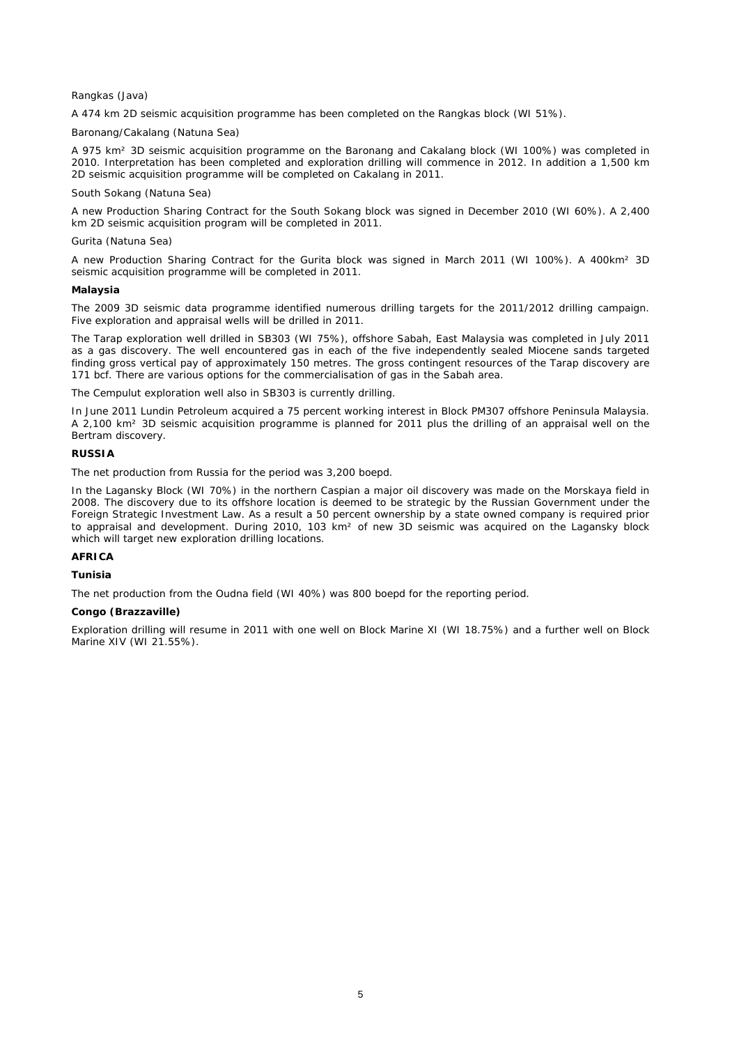## *Rangkas (Java)*

A 474 km 2D seismic acquisition programme has been completed on the Rangkas block (WI 51%).

## *Baronang/Cakalang (Natuna Sea)*

A 975 km² 3D seismic acquisition programme on the Baronang and Cakalang block (WI 100%) was completed in 2010. Interpretation has been completed and exploration drilling will commence in 2012. In addition a 1,500 km 2D seismic acquisition programme will be completed on Cakalang in 2011.

### *South Sokang (Natuna Sea)*

A new Production Sharing Contract for the South Sokang block was signed in December 2010 (WI 60%). A 2,400 km 2D seismic acquisition program will be completed in 2011.

#### *Gurita (Natuna Sea)*

A new Production Sharing Contract for the Gurita block was signed in March 2011 (WI 100%). A 400km² 3D seismic acquisition programme will be completed in 2011.

#### **Malaysia**

The 2009 3D seismic data programme identified numerous drilling targets for the 2011/2012 drilling campaign. Five exploration and appraisal wells will be drilled in 2011.

The Tarap exploration well drilled in SB303 (WI 75%), offshore Sabah, East Malaysia was completed in July 2011 as a gas discovery. The well encountered gas in each of the five independently sealed Miocene sands targeted finding gross vertical pay of approximately 150 metres. The gross contingent resources of the Tarap discovery are 171 bcf. There are various options for the commercialisation of gas in the Sabah area.

The Cempulut exploration well also in SB303 is currently drilling.

In June 2011 Lundin Petroleum acquired a 75 percent working interest in Block PM307 offshore Peninsula Malaysia. A 2,100 km² 3D seismic acquisition programme is planned for 2011 plus the drilling of an appraisal well on the Bertram discovery.

## **RUSSIA**

The net production from Russia for the period was 3,200 boepd.

In the Lagansky Block (WI 70%) in the northern Caspian a major oil discovery was made on the Morskaya field in 2008. The discovery due to its offshore location is deemed to be strategic by the Russian Government under the Foreign Strategic Investment Law. As a result a 50 percent ownership by a state owned company is required prior to appraisal and development. During 2010, 103 km² of new 3D seismic was acquired on the Lagansky block which will target new exploration drilling locations.

## **AFRICA**

## **Tunisia**

The net production from the Oudna field (WI 40%) was 800 boepd for the reporting period.

### **Congo (Brazzaville)**

Exploration drilling will resume in 2011 with one well on Block Marine XI (WI 18.75%) and a further well on Block Marine XIV (WI 21.55%).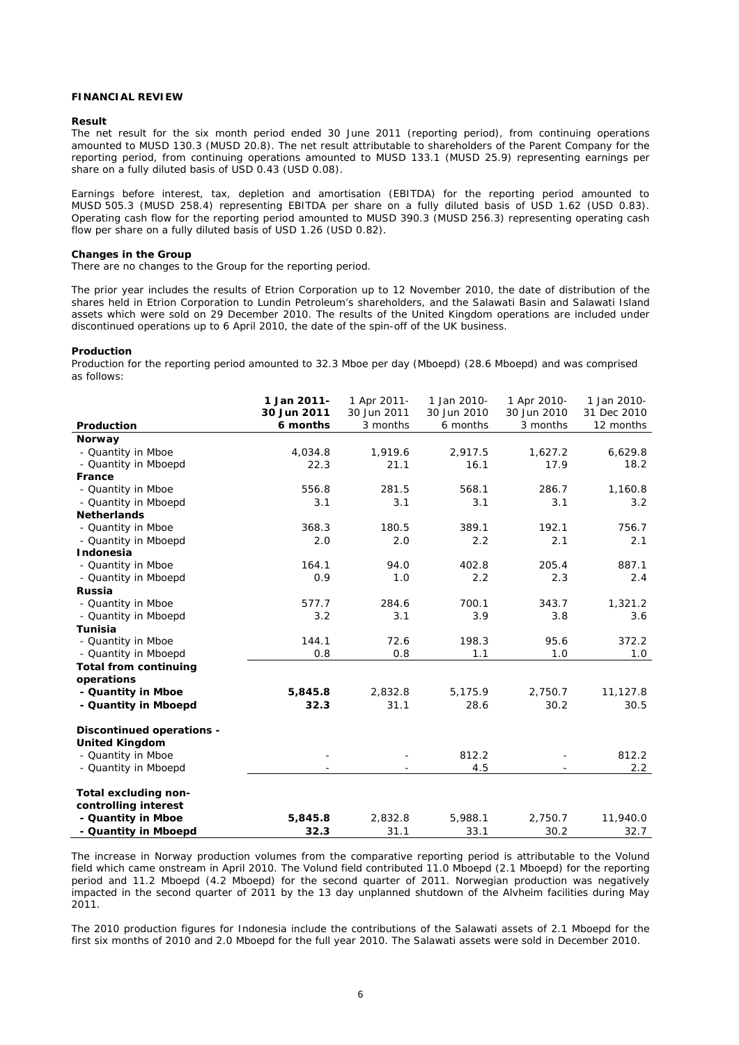## **FINANCIAL REVIEW**

#### **Result**

The net result for the six month period ended 30 June 2011 (reporting period), from continuing operations amounted to MUSD 130.3 (MUSD 20.8). The net result attributable to shareholders of the Parent Company for the reporting period, from continuing operations amounted to MUSD 133.1 (MUSD 25.9) representing earnings per share on a fully diluted basis of USD 0.43 (USD 0.08).

Earnings before interest, tax, depletion and amortisation (EBITDA) for the reporting period amounted to MUSD 505.3 (MUSD 258.4) representing EBITDA per share on a fully diluted basis of USD 1.62 (USD 0.83). Operating cash flow for the reporting period amounted to MUSD 390.3 (MUSD 256.3) representing operating cash flow per share on a fully diluted basis of USD 1.26 (USD 0.82).

### **Changes in the Group**

There are no changes to the Group for the reporting period.

The prior year includes the results of Etrion Corporation up to 12 November 2010, the date of distribution of the shares held in Etrion Corporation to Lundin Petroleum's shareholders, and the Salawati Basin and Salawati Island assets which were sold on 29 December 2010. The results of the United Kingdom operations are included under discontinued operations up to 6 April 2010, the date of the spin-off of the UK business.

#### **Production**

Production for the reporting period amounted to 32.3 Mboe per day (Mboepd) (28.6 Mboepd) and was comprised as follows:

|                              | 1 Jan 2011- | 1 Apr 2011- | 1 Jan 2010- | 1 Apr 2010- | 1 Jan 2010- |
|------------------------------|-------------|-------------|-------------|-------------|-------------|
|                              | 30 Jun 2011 | 30 Jun 2011 | 30 Jun 2010 | 30 Jun 2010 | 31 Dec 2010 |
| Production                   | 6 months    | 3 months    | 6 months    | 3 months    | 12 months   |
| <b>Norway</b>                |             |             |             |             |             |
| - Quantity in Mboe           | 4,034.8     | 1,919.6     | 2,917.5     | 1,627.2     | 6,629.8     |
| - Quantity in Mboepd         | 22.3        | 21.1        | 16.1        | 17.9        | 18.2        |
| France                       |             |             |             |             |             |
| - Quantity in Mboe           | 556.8       | 281.5       | 568.1       | 286.7       | 1,160.8     |
| - Quantity in Mboepd         | 3.1         | 3.1         | 3.1         | 3.1         | 3.2         |
| <b>Netherlands</b>           |             |             |             |             |             |
| - Quantity in Mboe           | 368.3       | 180.5       | 389.1       | 192.1       | 756.7       |
| - Quantity in Mboepd         | 2.0         | 2.0         | 2.2         | 2.1         | 2.1         |
| <b>Indonesia</b>             |             |             |             |             |             |
| - Quantity in Mboe           | 164.1       | 94.0        | 402.8       | 205.4       | 887.1       |
| - Quantity in Mboepd         | 0.9         | 1.0         | 2.2         | 2.3         | 2.4         |
| <b>Russia</b>                |             |             |             |             |             |
| - Quantity in Mboe           | 577.7       | 284.6       | 700.1       | 343.7       | 1,321.2     |
| - Quantity in Mboepd         | 3.2         | 3.1         | 3.9         | 3.8         | 3.6         |
| <b>Tunisia</b>               |             |             |             |             |             |
| - Quantity in Mboe           | 144.1       | 72.6        | 198.3       | 95.6        | 372.2       |
| - Quantity in Mboepd         | 0.8         | 0.8         | 1.1         | 1.0         | 1.0         |
| <b>Total from continuing</b> |             |             |             |             |             |
| operations                   |             |             |             |             |             |
| - Quantity in Mboe           | 5,845.8     | 2,832.8     | 5,175.9     | 2,750.7     | 11,127.8    |
| - Quantity in Mboepd         | 32.3        | 31.1        | 28.6        | 30.2        | 30.5        |
| Discontinued operations -    |             |             |             |             |             |
| <b>United Kingdom</b>        |             |             |             |             |             |
| - Quantity in Mboe           |             |             | 812.2       |             | 812.2       |
| - Quantity in Mboepd         |             |             | 4.5         |             | 2.2         |
| Total excluding non-         |             |             |             |             |             |
| controlling interest         |             |             |             |             |             |
| - Quantity in Mboe           | 5,845.8     | 2,832.8     | 5,988.1     | 2,750.7     | 11,940.0    |
| - Quantity in Mboepd         | 32.3        | 31.1        | 33.1        | 30.2        | 32.7        |

The increase in Norway production volumes from the comparative reporting period is attributable to the Volund field which came onstream in April 2010. The Volund field contributed 11.0 Mboepd (2.1 Mboepd) for the reporting period and 11.2 Mboepd (4.2 Mboepd) for the second quarter of 2011. Norwegian production was negatively impacted in the second quarter of 2011 by the 13 day unplanned shutdown of the Alvheim facilities during May 2011.

The 2010 production figures for Indonesia include the contributions of the Salawati assets of 2.1 Mboepd for the first six months of 2010 and 2.0 Mboepd for the full year 2010. The Salawati assets were sold in December 2010.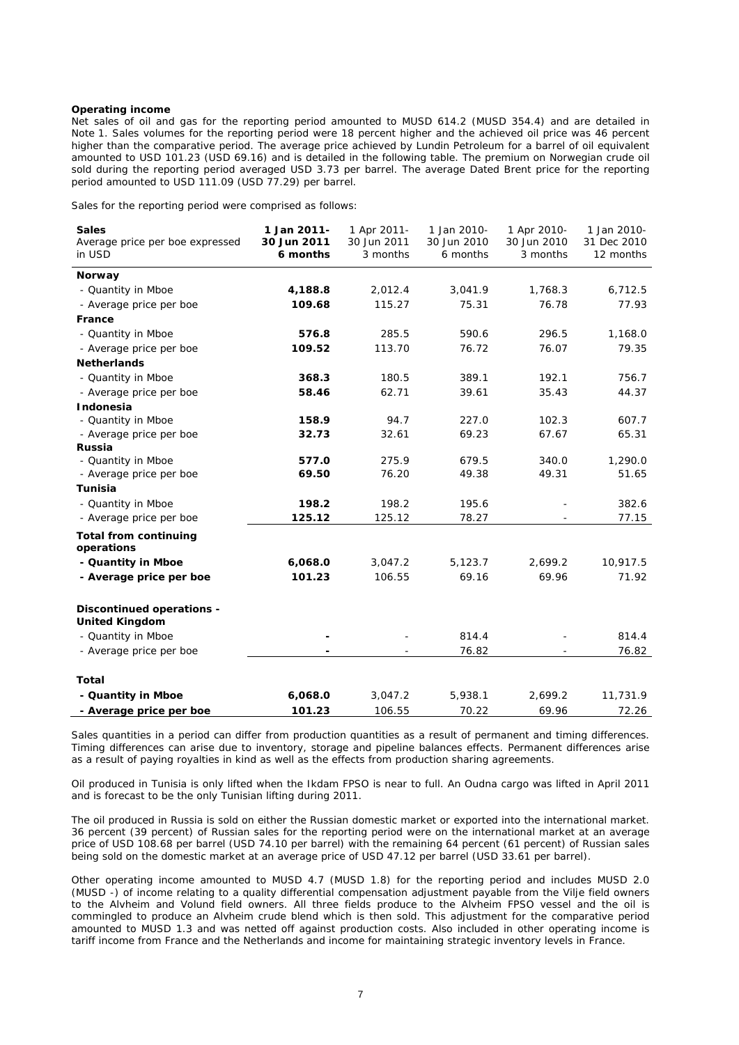## **Operating income**

Net sales of oil and gas for the reporting period amounted to MUSD 614.2 (MUSD 354.4) and are detailed in Note 1. Sales volumes for the reporting period were 18 percent higher and the achieved oil price was 46 percent higher than the comparative period. The average price achieved by Lundin Petroleum for a barrel of oil equivalent amounted to USD 101.23 (USD 69.16) and is detailed in the following table. The premium on Norwegian crude oil sold during the reporting period averaged USD 3.73 per barrel. The average Dated Brent price for the reporting period amounted to USD 111.09 (USD 77.29) per barrel.

Sales for the reporting period were comprised as follows:

| <b>Sales</b><br>Average price per boe expressed<br>in USD | 1 Jan 2011-<br>30 Jun 2011<br>6 months | 1 Apr 2011-<br>30 Jun 2011<br>3 months | 1 Jan 2010-<br>30 Jun 2010<br>6 months | 1 Apr 2010-<br>30 Jun 2010<br>3 months | 1 Jan 2010-<br>31 Dec 2010<br>12 months |
|-----------------------------------------------------------|----------------------------------------|----------------------------------------|----------------------------------------|----------------------------------------|-----------------------------------------|
| <b>Norway</b>                                             |                                        |                                        |                                        |                                        |                                         |
| - Quantity in Mboe                                        | 4,188.8                                | 2,012.4                                | 3,041.9                                | 1,768.3                                | 6,712.5                                 |
| - Average price per boe                                   | 109.68                                 | 115.27                                 | 75.31                                  | 76.78                                  | 77.93                                   |
| France                                                    |                                        |                                        |                                        |                                        |                                         |
| - Quantity in Mboe                                        | 576.8                                  | 285.5                                  | 590.6                                  | 296.5                                  | 1,168.0                                 |
| - Average price per boe                                   | 109.52                                 | 113.70                                 | 76.72                                  | 76.07                                  | 79.35                                   |
| <b>Netherlands</b>                                        |                                        |                                        |                                        |                                        |                                         |
| - Quantity in Mboe                                        | 368.3                                  | 180.5                                  | 389.1                                  | 192.1                                  | 756.7                                   |
| - Average price per boe                                   | 58.46                                  | 62.71                                  | 39.61                                  | 35.43                                  | 44.37                                   |
| <b>Indonesia</b>                                          |                                        |                                        |                                        |                                        |                                         |
| - Quantity in Mboe                                        | 158.9                                  | 94.7                                   | 227.0                                  | 102.3                                  | 607.7                                   |
| - Average price per boe                                   | 32.73                                  | 32.61                                  | 69.23                                  | 67.67                                  | 65.31                                   |
| <b>Russia</b>                                             |                                        |                                        |                                        |                                        |                                         |
| - Quantity in Mboe                                        | 577.0                                  | 275.9                                  | 679.5                                  | 340.0                                  | 1,290.0                                 |
| - Average price per boe                                   | 69.50                                  | 76.20                                  | 49.38                                  | 49.31                                  | 51.65                                   |
| <b>Tunisia</b>                                            |                                        |                                        |                                        |                                        |                                         |
| - Quantity in Mboe                                        | 198.2                                  | 198.2                                  | 195.6                                  |                                        | 382.6                                   |
| - Average price per boe                                   | 125.12                                 | 125.12                                 | 78.27                                  |                                        | 77.15                                   |
| <b>Total from continuing</b><br>operations                |                                        |                                        |                                        |                                        |                                         |
| - Quantity in Mboe                                        | 6,068.0                                | 3,047.2                                | 5,123.7                                | 2,699.2                                | 10,917.5                                |
| - Average price per boe                                   | 101.23                                 | 106.55                                 | 69.16                                  | 69.96                                  | 71.92                                   |
| Discontinued operations -<br><b>United Kingdom</b>        |                                        |                                        |                                        |                                        |                                         |
| - Quantity in Mboe                                        |                                        |                                        | 814.4                                  |                                        | 814.4                                   |
| - Average price per boe                                   |                                        |                                        | 76.82                                  |                                        | 76.82                                   |
| <b>Total</b>                                              |                                        |                                        |                                        |                                        |                                         |
| - Quantity in Mboe                                        | 6,068.0                                | 3,047.2                                | 5,938.1                                | 2,699.2                                | 11,731.9                                |
| - Average price per boe                                   | 101.23                                 | 106.55                                 | 70.22                                  | 69.96                                  | 72.26                                   |

Sales quantities in a period can differ from production quantities as a result of permanent and timing differences. Timing differences can arise due to inventory, storage and pipeline balances effects. Permanent differences arise as a result of paying royalties in kind as well as the effects from production sharing agreements.

Oil produced in Tunisia is only lifted when the Ikdam FPSO is near to full. An Oudna cargo was lifted in April 2011 and is forecast to be the only Tunisian lifting during 2011.

The oil produced in Russia is sold on either the Russian domestic market or exported into the international market. 36 percent (39 percent) of Russian sales for the reporting period were on the international market at an average price of USD 108.68 per barrel (USD 74.10 per barrel) with the remaining 64 percent (61 percent) of Russian sales being sold on the domestic market at an average price of USD 47.12 per barrel (USD 33.61 per barrel).

Other operating income amounted to MUSD 4.7 (MUSD 1.8) for the reporting period and includes MUSD 2.0 (MUSD -) of income relating to a quality differential compensation adjustment payable from the Vilje field owners to the Alvheim and Volund field owners. All three fields produce to the Alvheim FPSO vessel and the oil is commingled to produce an Alvheim crude blend which is then sold. This adjustment for the comparative period amounted to MUSD 1.3 and was netted off against production costs. Also included in other operating income is tariff income from France and the Netherlands and income for maintaining strategic inventory levels in France.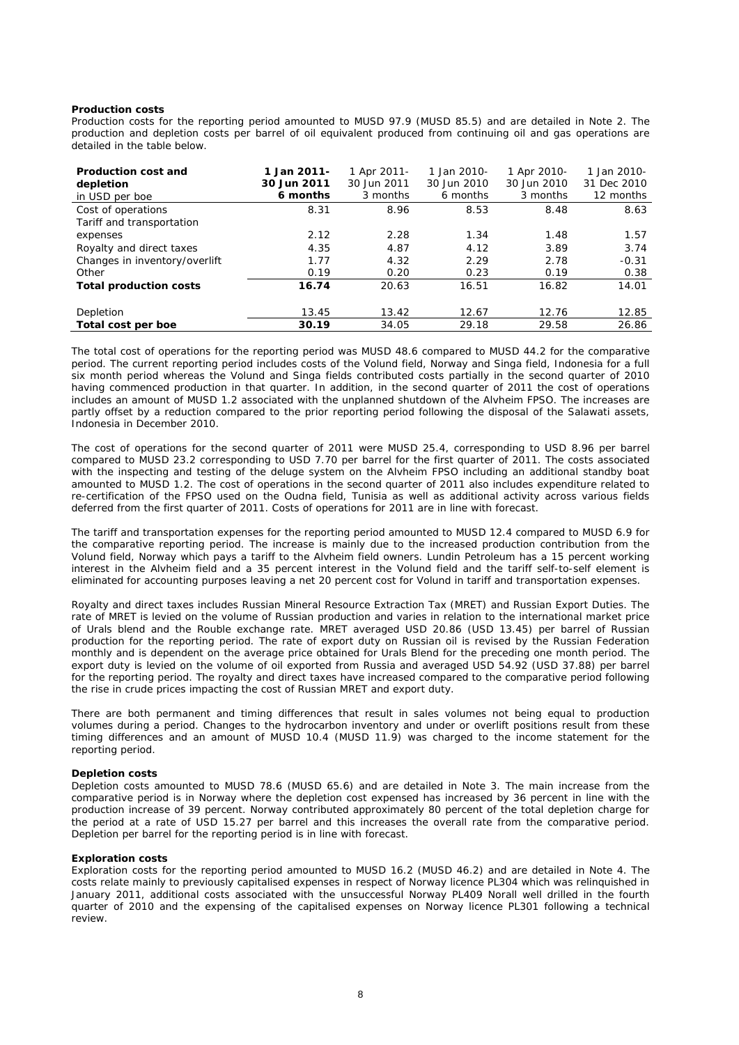## **Production costs**

Production costs for the reporting period amounted to MUSD 97.9 (MUSD 85.5) and are detailed in Note 2. The production and depletion costs per barrel of oil equivalent produced from continuing oil and gas operations are detailed in the table below.

| <b>Production cost and</b><br>depletion<br>in USD per boe | 1 Jan 2011-<br>30 Jun 2011<br>6 months | 1 Apr 2011-<br>30 Jun 2011<br>3 months | 1 Jan 2010-<br>30 Jun 2010<br>6 months | 1 Apr 2010-<br>30 Jun 2010<br>3 months | 1 Jan 2010-<br>31 Dec 2010<br>12 months |
|-----------------------------------------------------------|----------------------------------------|----------------------------------------|----------------------------------------|----------------------------------------|-----------------------------------------|
| Cost of operations                                        | 8.31                                   | 8.96                                   | 8.53                                   | 8.48                                   | 8.63                                    |
| Tariff and transportation                                 |                                        |                                        |                                        |                                        |                                         |
| expenses                                                  | 2.12                                   | 2.28                                   | 1.34                                   | 1.48                                   | 1.57                                    |
| Royalty and direct taxes                                  | 4.35                                   | 4.87                                   | 4.12                                   | 3.89                                   | 3.74                                    |
| Changes in inventory/overlift                             | 1.77                                   | 4.32                                   | 2.29                                   | 2.78                                   | $-0.31$                                 |
| Other                                                     | 0.19                                   | 0.20                                   | 0.23                                   | 0.19                                   | 0.38                                    |
| <b>Total production costs</b>                             | 16.74                                  | 20.63                                  | 16.51                                  | 16.82                                  | 14.01                                   |
| Depletion                                                 | 13.45                                  | 13.42                                  | 12.67                                  | 12.76                                  | 12.85                                   |
| Total cost per boe                                        | 30.19                                  | 34.05                                  | 29.18                                  | 29.58                                  | 26.86                                   |

The total cost of operations for the reporting period was MUSD 48.6 compared to MUSD 44.2 for the comparative period. The current reporting period includes costs of the Volund field, Norway and Singa field, Indonesia for a full six month period whereas the Volund and Singa fields contributed costs partially in the second quarter of 2010 having commenced production in that quarter. In addition, in the second quarter of 2011 the cost of operations includes an amount of MUSD 1.2 associated with the unplanned shutdown of the Alvheim FPSO. The increases are partly offset by a reduction compared to the prior reporting period following the disposal of the Salawati assets, Indonesia in December 2010.

The cost of operations for the second quarter of 2011 were MUSD 25.4, corresponding to USD 8.96 per barrel compared to MUSD 23.2 corresponding to USD 7.70 per barrel for the first quarter of 2011. The costs associated with the inspecting and testing of the deluge system on the Alvheim FPSO including an additional standby boat amounted to MUSD 1.2. The cost of operations in the second quarter of 2011 also includes expenditure related to re-certification of the FPSO used on the Oudna field, Tunisia as well as additional activity across various fields deferred from the first quarter of 2011. Costs of operations for 2011 are in line with forecast.

The tariff and transportation expenses for the reporting period amounted to MUSD 12.4 compared to MUSD 6.9 for the comparative reporting period. The increase is mainly due to the increased production contribution from the Volund field, Norway which pays a tariff to the Alvheim field owners. Lundin Petroleum has a 15 percent working interest in the Alvheim field and a 35 percent interest in the Volund field and the tariff self-to-self element is eliminated for accounting purposes leaving a net 20 percent cost for Volund in tariff and transportation expenses.

Royalty and direct taxes includes Russian Mineral Resource Extraction Tax (MRET) and Russian Export Duties. The rate of MRET is levied on the volume of Russian production and varies in relation to the international market price of Urals blend and the Rouble exchange rate. MRET averaged USD 20.86 (USD 13.45) per barrel of Russian production for the reporting period. The rate of export duty on Russian oil is revised by the Russian Federation monthly and is dependent on the average price obtained for Urals Blend for the preceding one month period. The export duty is levied on the volume of oil exported from Russia and averaged USD 54.92 (USD 37.88) per barrel for the reporting period. The royalty and direct taxes have increased compared to the comparative period following the rise in crude prices impacting the cost of Russian MRET and export duty.

There are both permanent and timing differences that result in sales volumes not being equal to production volumes during a period. Changes to the hydrocarbon inventory and under or overlift positions result from these timing differences and an amount of MUSD 10.4 (MUSD 11.9) was charged to the income statement for the reporting period.

### **Depletion costs**

Depletion costs amounted to MUSD 78.6 (MUSD 65.6) and are detailed in Note 3. The main increase from the comparative period is in Norway where the depletion cost expensed has increased by 36 percent in line with the production increase of 39 percent. Norway contributed approximately 80 percent of the total depletion charge for the period at a rate of USD 15.27 per barrel and this increases the overall rate from the comparative period. Depletion per barrel for the reporting period is in line with forecast.

### **Exploration costs**

Exploration costs for the reporting period amounted to MUSD 16.2 (MUSD 46.2) and are detailed in Note 4. The costs relate mainly to previously capitalised expenses in respect of Norway licence PL304 which was relinquished in January 2011, additional costs associated with the unsuccessful Norway PL409 Norall well drilled in the fourth quarter of 2010 and the expensing of the capitalised expenses on Norway licence PL301 following a technical review.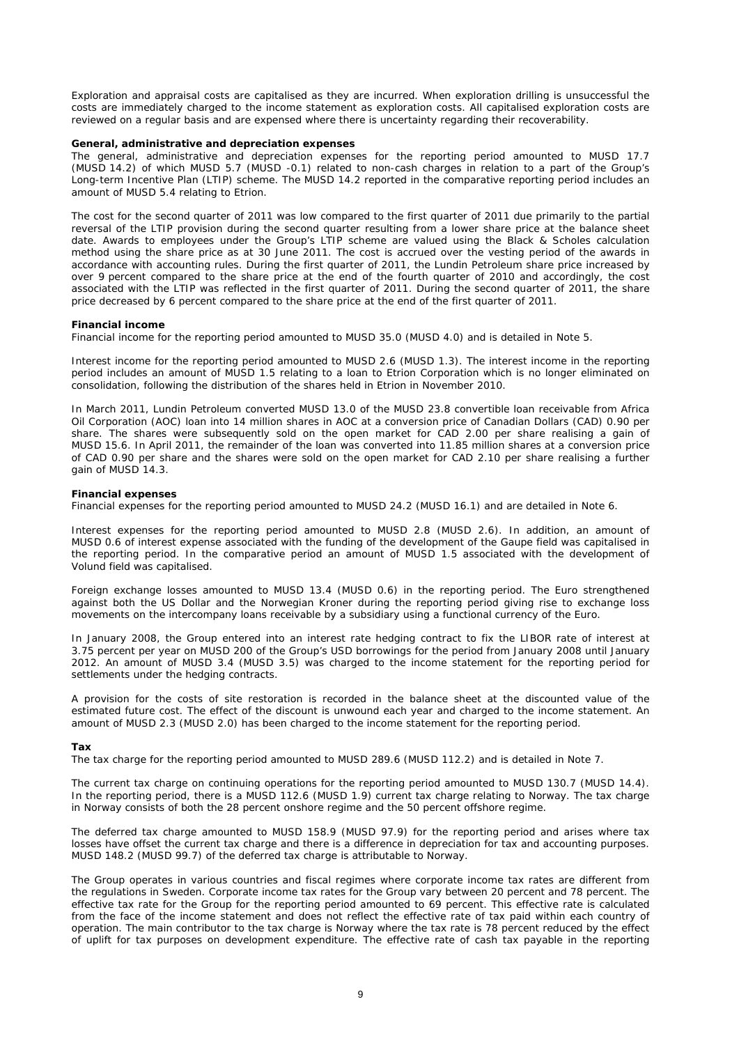Exploration and appraisal costs are capitalised as they are incurred. When exploration drilling is unsuccessful the costs are immediately charged to the income statement as exploration costs. All capitalised exploration costs are reviewed on a regular basis and are expensed where there is uncertainty regarding their recoverability.

### **General, administrative and depreciation expenses**

The general, administrative and depreciation expenses for the reporting period amounted to MUSD 17.7 (MUSD 14.2) of which MUSD 5.7 (MUSD -0.1) related to non-cash charges in relation to a part of the Group's Long-term Incentive Plan (LTIP) scheme. The MUSD 14.2 reported in the comparative reporting period includes an amount of MUSD 5.4 relating to Etrion.

The cost for the second quarter of 2011 was low compared to the first quarter of 2011 due primarily to the partial reversal of the LTIP provision during the second quarter resulting from a lower share price at the balance sheet date. Awards to employees under the Group's LTIP scheme are valued using the Black & Scholes calculation method using the share price as at 30 June 2011. The cost is accrued over the vesting period of the awards in accordance with accounting rules. During the first quarter of 2011, the Lundin Petroleum share price increased by over 9 percent compared to the share price at the end of the fourth quarter of 2010 and accordingly, the cost associated with the LTIP was reflected in the first quarter of 2011. During the second quarter of 2011, the share price decreased by 6 percent compared to the share price at the end of the first quarter of 2011.

#### **Financial income**

Financial income for the reporting period amounted to MUSD 35.0 (MUSD 4.0) and is detailed in Note 5.

Interest income for the reporting period amounted to MUSD 2.6 (MUSD 1.3). The interest income in the reporting period includes an amount of MUSD 1.5 relating to a loan to Etrion Corporation which is no longer eliminated on consolidation, following the distribution of the shares held in Etrion in November 2010.

In March 2011, Lundin Petroleum converted MUSD 13.0 of the MUSD 23.8 convertible loan receivable from Africa Oil Corporation (AOC) loan into 14 million shares in AOC at a conversion price of Canadian Dollars (CAD) 0.90 per share. The shares were subsequently sold on the open market for CAD 2.00 per share realising a gain of MUSD 15.6. In April 2011, the remainder of the loan was converted into 11.85 million shares at a conversion price of CAD 0.90 per share and the shares were sold on the open market for CAD 2.10 per share realising a further gain of MUSD 14.3.

### **Financial expenses**

Financial expenses for the reporting period amounted to MUSD 24.2 (MUSD 16.1) and are detailed in Note 6.

Interest expenses for the reporting period amounted to MUSD 2.8 (MUSD 2.6). In addition, an amount of MUSD 0.6 of interest expense associated with the funding of the development of the Gaupe field was capitalised in the reporting period. In the comparative period an amount of MUSD 1.5 associated with the development of Volund field was capitalised.

Foreign exchange losses amounted to MUSD 13.4 (MUSD 0.6) in the reporting period. The Euro strengthened against both the US Dollar and the Norwegian Kroner during the reporting period giving rise to exchange loss movements on the intercompany loans receivable by a subsidiary using a functional currency of the Euro.

In January 2008, the Group entered into an interest rate hedging contract to fix the LIBOR rate of interest at 3.75 percent per year on MUSD 200 of the Group's USD borrowings for the period from January 2008 until January 2012. An amount of MUSD 3.4 (MUSD 3.5) was charged to the income statement for the reporting period for settlements under the hedging contracts.

A provision for the costs of site restoration is recorded in the balance sheet at the discounted value of the estimated future cost. The effect of the discount is unwound each year and charged to the income statement. An amount of MUSD 2.3 (MUSD 2.0) has been charged to the income statement for the reporting period.

#### **Tax**

The tax charge for the reporting period amounted to MUSD 289.6 (MUSD 112.2) and is detailed in Note 7.

The current tax charge on continuing operations for the reporting period amounted to MUSD 130.7 (MUSD 14.4). In the reporting period, there is a MUSD 112.6 (MUSD 1.9) current tax charge relating to Norway. The tax charge in Norway consists of both the 28 percent onshore regime and the 50 percent offshore regime.

The deferred tax charge amounted to MUSD 158.9 (MUSD 97.9) for the reporting period and arises where tax losses have offset the current tax charge and there is a difference in depreciation for tax and accounting purposes. MUSD 148.2 (MUSD 99.7) of the deferred tax charge is attributable to Norway.

The Group operates in various countries and fiscal regimes where corporate income tax rates are different from the regulations in Sweden. Corporate income tax rates for the Group vary between 20 percent and 78 percent. The effective tax rate for the Group for the reporting period amounted to 69 percent. This effective rate is calculated from the face of the income statement and does not reflect the effective rate of tax paid within each country of operation. The main contributor to the tax charge is Norway where the tax rate is 78 percent reduced by the effect of uplift for tax purposes on development expenditure. The effective rate of cash tax payable in the reporting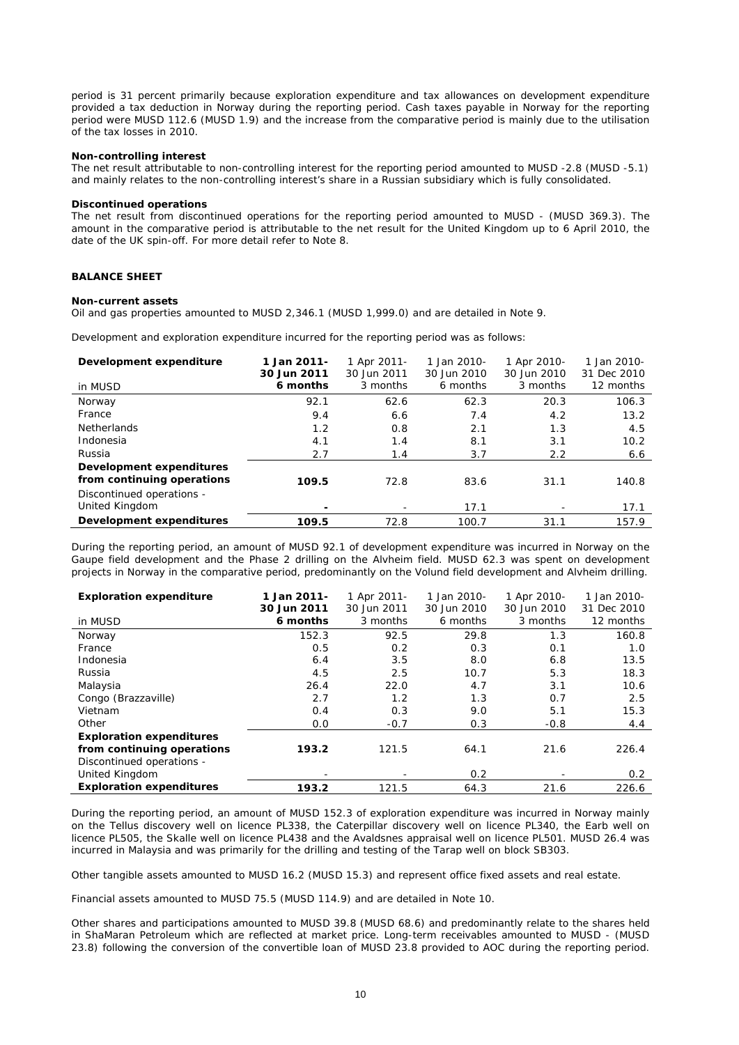period is 31 percent primarily because exploration expenditure and tax allowances on development expenditure provided a tax deduction in Norway during the reporting period. Cash taxes payable in Norway for the reporting period were MUSD 112.6 (MUSD 1.9) and the increase from the comparative period is mainly due to the utilisation of the tax losses in 2010.

## **Non-controlling interest**

The net result attributable to non-controlling interest for the reporting period amounted to MUSD -2.8 (MUSD -5.1) and mainly relates to the non-controlling interest's share in a Russian subsidiary which is fully consolidated.

#### **Discontinued operations**

The net result from discontinued operations for the reporting period amounted to MUSD - (MUSD 369.3). The amount in the comparative period is attributable to the net result for the United Kingdom up to 6 April 2010, the date of the UK spin-off. For more detail refer to Note 8.

## **BALANCE SHEET**

#### **Non-current assets**

Oil and gas properties amounted to MUSD 2,346.1 (MUSD 1,999.0) and are detailed in Note 9.

Development and exploration expenditure incurred for the reporting period was as follows:

| Development expenditure    | 1 Jan 2011-<br>30 Jun 2011 | 1 Apr 2011-<br>30 Jun 2011 | 1 Jan 2010-<br>30 Jun 2010 | 1 Apr 2010-<br>30 Jun 2010 | 1 Jan 2010-<br>31 Dec 2010 |
|----------------------------|----------------------------|----------------------------|----------------------------|----------------------------|----------------------------|
| in MUSD                    | 6 months                   | 3 months                   | 6 months                   | 3 months                   | 12 months                  |
| Norway                     | 92.1                       | 62.6                       | 62.3                       | 20.3                       | 106.3                      |
| France                     | 9.4                        | 6.6                        | 7.4                        | 4.2                        | 13.2                       |
| <b>Netherlands</b>         | 1.2                        | 0.8                        | 2.1                        | 1.3                        | 4.5                        |
| Indonesia                  | 4.1                        | 1.4                        | 8.1                        | 3.1                        | 10.2                       |
| Russia                     | 2.7                        | 1.4                        | 3.7                        | 2.2                        | 6.6                        |
| Development expenditures   |                            |                            |                            |                            |                            |
| from continuing operations | 109.5                      | 72.8                       | 83.6                       | 31.1                       | 140.8                      |
| Discontinued operations -  |                            |                            |                            |                            |                            |
| United Kingdom             | ٠                          |                            | 17.1                       |                            | 17.1                       |
| Development expenditures   | 109.5                      | 72.8                       | 100.7                      | 31.1                       | 157.9                      |

During the reporting period, an amount of MUSD 92.1 of development expenditure was incurred in Norway on the Gaupe field development and the Phase 2 drilling on the Alvheim field. MUSD 62.3 was spent on development projects in Norway in the comparative period, predominantly on the Volund field development and Alvheim drilling.

| <b>Exploration expenditure</b>  | 1 Jan 2011- | 1 Apr 2011- | 1 Jan 2010- | 1 Apr 2010- | 1 Jan 2010- |
|---------------------------------|-------------|-------------|-------------|-------------|-------------|
|                                 | 30 Jun 2011 | 30 Jun 2011 | 30 Jun 2010 | 30 Jun 2010 | 31 Dec 2010 |
| in MUSD                         | 6 months    | 3 months    | 6 months    | 3 months    | 12 months   |
| Norway                          | 152.3       | 92.5        | 29.8        | 1.3         | 160.8       |
| France                          | 0.5         | 0.2         | 0.3         | 0.1         | 1.0         |
| Indonesia                       | 6.4         | 3.5         | 8.0         | 6.8         | 13.5        |
| Russia                          | 4.5         | 2.5         | 10.7        | 5.3         | 18.3        |
| Malaysia                        | 26.4        | 22.0        | 4.7         | 3.1         | 10.6        |
| Congo (Brazzaville)             | 2.7         | 1.2         | 1.3         | 0.7         | 2.5         |
| Vietnam                         | 0.4         | 0.3         | 9.0         | 5.1         | 15.3        |
| Other                           | 0.0         | $-0.7$      | 0.3         | $-0.8$      | 4.4         |
| <b>Exploration expenditures</b> |             |             |             |             |             |
| from continuing operations      | 193.2       | 121.5       | 64.1        | 21.6        | 226.4       |
| Discontinued operations -       |             |             |             |             |             |
| United Kingdom                  |             |             | 0.2         |             | 0.2         |
| <b>Exploration expenditures</b> | 193.2       | 121.5       | 64.3        | 21.6        | 226.6       |

During the reporting period, an amount of MUSD 152.3 of exploration expenditure was incurred in Norway mainly on the Tellus discovery well on licence PL338, the Caterpillar discovery well on licence PL340, the Earb well on licence PL505, the Skalle well on licence PL438 and the Avaldsnes appraisal well on licence PL501. MUSD 26.4 was incurred in Malaysia and was primarily for the drilling and testing of the Tarap well on block SB303.

Other tangible assets amounted to MUSD 16.2 (MUSD 15.3) and represent office fixed assets and real estate.

Financial assets amounted to MUSD 75.5 (MUSD 114.9) and are detailed in Note 10.

Other shares and participations amounted to MUSD 39.8 (MUSD 68.6) and predominantly relate to the shares held in ShaMaran Petroleum which are reflected at market price. Long-term receivables amounted to MUSD - (MUSD 23.8) following the conversion of the convertible loan of MUSD 23.8 provided to AOC during the reporting period.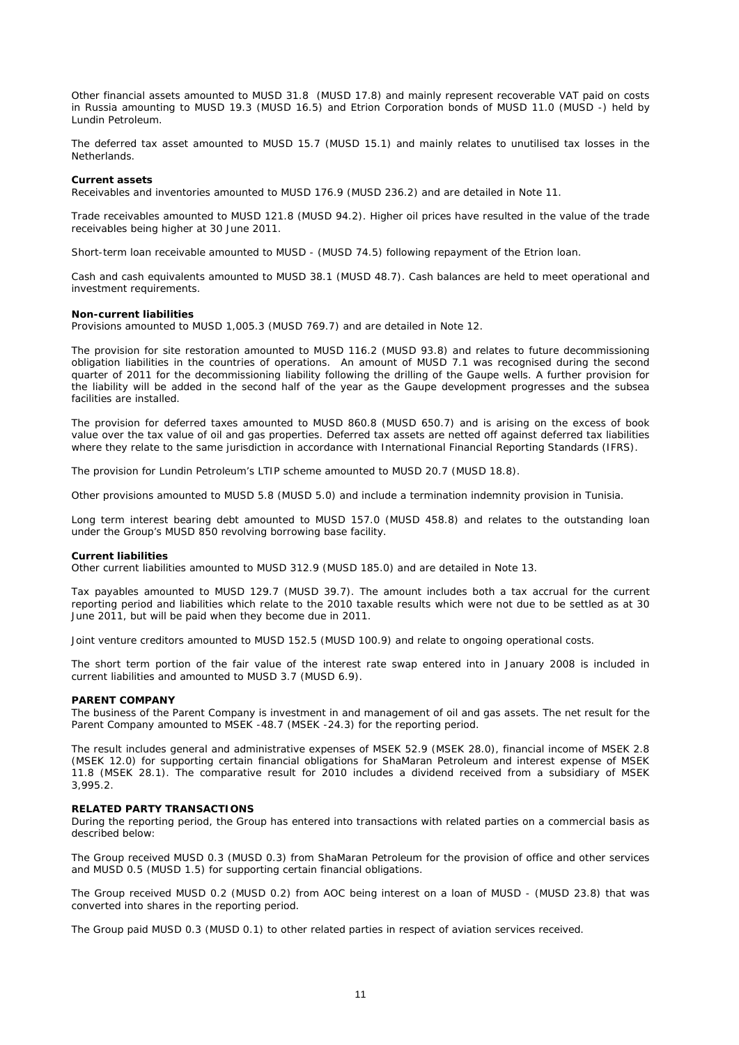Other financial assets amounted to MUSD 31.8 (MUSD 17.8) and mainly represent recoverable VAT paid on costs in Russia amounting to MUSD 19.3 (MUSD 16.5) and Etrion Corporation bonds of MUSD 11.0 (MUSD -) held by Lundin Petroleum.

The deferred tax asset amounted to MUSD 15.7 (MUSD 15.1) and mainly relates to unutilised tax losses in the Netherlands.

#### **Current assets**

Receivables and inventories amounted to MUSD 176.9 (MUSD 236.2) and are detailed in Note 11.

Trade receivables amounted to MUSD 121.8 (MUSD 94.2). Higher oil prices have resulted in the value of the trade receivables being higher at 30 June 2011.

Short-term loan receivable amounted to MUSD - (MUSD 74.5) following repayment of the Etrion loan.

Cash and cash equivalents amounted to MUSD 38.1 (MUSD 48.7). Cash balances are held to meet operational and investment requirements.

#### **Non-current liabilities**

Provisions amounted to MUSD 1,005.3 (MUSD 769.7) and are detailed in Note 12.

The provision for site restoration amounted to MUSD 116.2 (MUSD 93.8) and relates to future decommissioning obligation liabilities in the countries of operations. An amount of MUSD 7.1 was recognised during the second quarter of 2011 for the decommissioning liability following the drilling of the Gaupe wells. A further provision for the liability will be added in the second half of the year as the Gaupe development progresses and the subsea facilities are installed.

The provision for deferred taxes amounted to MUSD 860.8 (MUSD 650.7) and is arising on the excess of book value over the tax value of oil and gas properties. Deferred tax assets are netted off against deferred tax liabilities where they relate to the same jurisdiction in accordance with International Financial Reporting Standards (IFRS).

The provision for Lundin Petroleum's LTIP scheme amounted to MUSD 20.7 (MUSD 18.8).

Other provisions amounted to MUSD 5.8 (MUSD 5.0) and include a termination indemnity provision in Tunisia.

Long term interest bearing debt amounted to MUSD 157.0 (MUSD 458.8) and relates to the outstanding loan under the Group's MUSD 850 revolving borrowing base facility.

#### **Current liabilities**

Other current liabilities amounted to MUSD 312.9 (MUSD 185.0) and are detailed in Note 13.

Tax payables amounted to MUSD 129.7 (MUSD 39.7). The amount includes both a tax accrual for the current reporting period and liabilities which relate to the 2010 taxable results which were not due to be settled as at 30 June 2011, but will be paid when they become due in 2011.

Joint venture creditors amounted to MUSD 152.5 (MUSD 100.9) and relate to ongoing operational costs.

The short term portion of the fair value of the interest rate swap entered into in January 2008 is included in current liabilities and amounted to MUSD 3.7 (MUSD 6.9).

#### **PARENT COMPANY**

The business of the Parent Company is investment in and management of oil and gas assets. The net result for the Parent Company amounted to MSEK -48.7 (MSEK -24.3) for the reporting period.

The result includes general and administrative expenses of MSEK 52.9 (MSEK 28.0), financial income of MSEK 2.8 (MSEK 12.0) for supporting certain financial obligations for ShaMaran Petroleum and interest expense of MSEK 11.8 (MSEK 28.1). The comparative result for 2010 includes a dividend received from a subsidiary of MSEK 3,995.2.

#### **RELATED PARTY TRANSACTIONS**

During the reporting period, the Group has entered into transactions with related parties on a commercial basis as described below:

The Group received MUSD 0.3 (MUSD 0.3) from ShaMaran Petroleum for the provision of office and other services and MUSD 0.5 (MUSD 1.5) for supporting certain financial obligations.

The Group received MUSD 0.2 (MUSD 0.2) from AOC being interest on a loan of MUSD - (MUSD 23.8) that was converted into shares in the reporting period.

The Group paid MUSD 0.3 (MUSD 0.1) to other related parties in respect of aviation services received.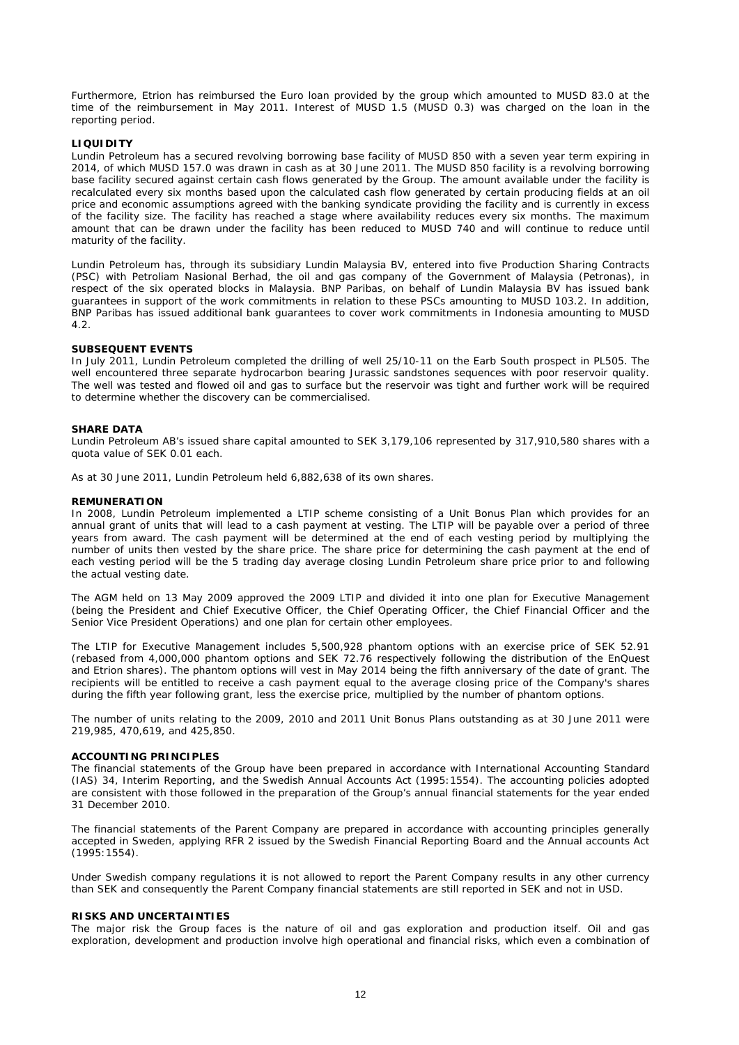Furthermore, Etrion has reimbursed the Euro loan provided by the group which amounted to MUSD 83.0 at the time of the reimbursement in May 2011. Interest of MUSD 1.5 (MUSD 0.3) was charged on the loan in the reporting period.

## **LIQUIDITY**

Lundin Petroleum has a secured revolving borrowing base facility of MUSD 850 with a seven year term expiring in 2014, of which MUSD 157.0 was drawn in cash as at 30 June 2011. The MUSD 850 facility is a revolving borrowing base facility secured against certain cash flows generated by the Group. The amount available under the facility is recalculated every six months based upon the calculated cash flow generated by certain producing fields at an oil price and economic assumptions agreed with the banking syndicate providing the facility and is currently in excess of the facility size. The facility has reached a stage where availability reduces every six months. The maximum amount that can be drawn under the facility has been reduced to MUSD 740 and will continue to reduce until maturity of the facility.

Lundin Petroleum has, through its subsidiary Lundin Malaysia BV, entered into five Production Sharing Contracts (PSC) with Petroliam Nasional Berhad, the oil and gas company of the Government of Malaysia (Petronas), in respect of the six operated blocks in Malaysia. BNP Paribas, on behalf of Lundin Malaysia BV has issued bank guarantees in support of the work commitments in relation to these PSCs amounting to MUSD 103.2. In addition, BNP Paribas has issued additional bank guarantees to cover work commitments in Indonesia amounting to MUSD 4.2.

#### **SUBSEQUENT EVENTS**

In July 2011, Lundin Petroleum completed the drilling of well 25/10-11 on the Earb South prospect in PL505. The well encountered three separate hydrocarbon bearing Jurassic sandstones sequences with poor reservoir quality. The well was tested and flowed oil and gas to surface but the reservoir was tight and further work will be required to determine whether the discovery can be commercialised.

### **SHARE DATA**

Lundin Petroleum AB's issued share capital amounted to SEK 3,179,106 represented by 317,910,580 shares with a quota value of SEK 0.01 each.

As at 30 June 2011, Lundin Petroleum held 6,882,638 of its own shares.

#### **REMUNERATION**

In 2008, Lundin Petroleum implemented a LTIP scheme consisting of a Unit Bonus Plan which provides for an annual grant of units that will lead to a cash payment at vesting. The LTIP will be payable over a period of three years from award. The cash payment will be determined at the end of each vesting period by multiplying the number of units then vested by the share price. The share price for determining the cash payment at the end of each vesting period will be the 5 trading day average closing Lundin Petroleum share price prior to and following the actual vesting date.

The AGM held on 13 May 2009 approved the 2009 LTIP and divided it into one plan for Executive Management (being the President and Chief Executive Officer, the Chief Operating Officer, the Chief Financial Officer and the Senior Vice President Operations) and one plan for certain other employees.

The LTIP for Executive Management includes 5,500,928 phantom options with an exercise price of SEK 52.91 (rebased from 4,000,000 phantom options and SEK 72.76 respectively following the distribution of the EnQuest and Etrion shares). The phantom options will vest in May 2014 being the fifth anniversary of the date of grant. The recipients will be entitled to receive a cash payment equal to the average closing price of the Company's shares during the fifth year following grant, less the exercise price, multiplied by the number of phantom options.

The number of units relating to the 2009, 2010 and 2011 Unit Bonus Plans outstanding as at 30 June 2011 were 219,985, 470,619, and 425,850.

### **ACCOUNTING PRINCIPLES**

The financial statements of the Group have been prepared in accordance with International Accounting Standard (IAS) 34, Interim Reporting, and the Swedish Annual Accounts Act (1995:1554). The accounting policies adopted are consistent with those followed in the preparation of the Group's annual financial statements for the year ended 31 December 2010.

The financial statements of the Parent Company are prepared in accordance with accounting principles generally accepted in Sweden, applying RFR 2 issued by the Swedish Financial Reporting Board and the Annual accounts Act (1995:1554).

Under Swedish company regulations it is not allowed to report the Parent Company results in any other currency than SEK and consequently the Parent Company financial statements are still reported in SEK and not in USD.

#### **RISKS AND UNCERTAINTIES**

The major risk the Group faces is the nature of oil and gas exploration and production itself. Oil and gas exploration, development and production involve high operational and financial risks, which even a combination of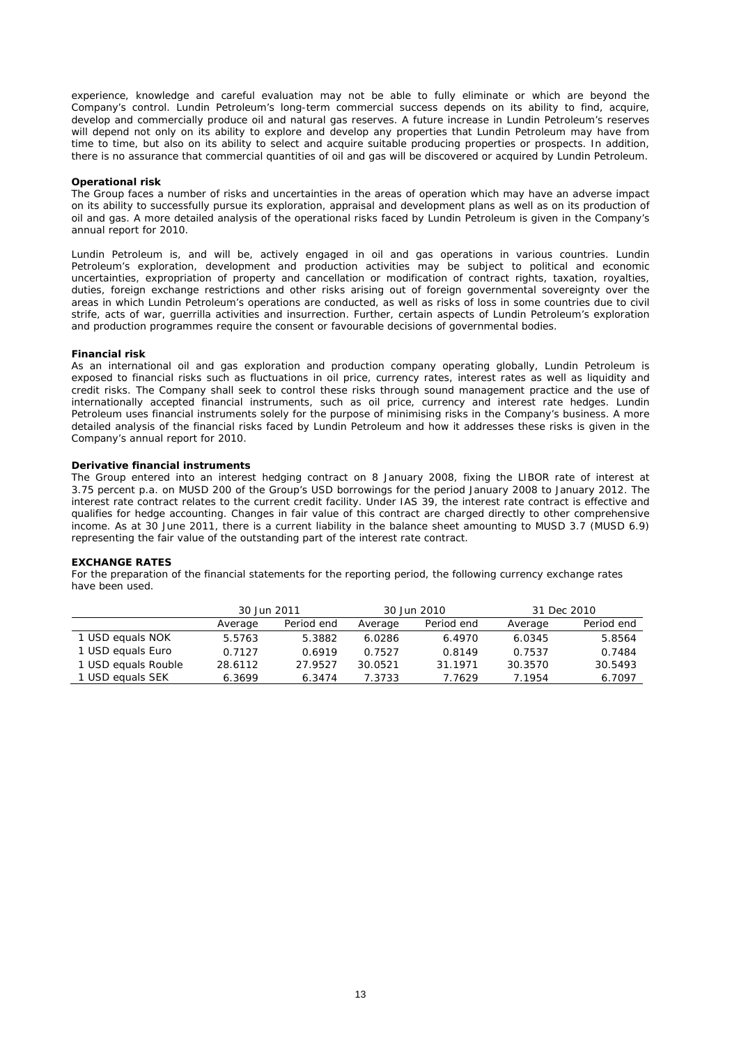experience, knowledge and careful evaluation may not be able to fully eliminate or which are beyond the Company's control. Lundin Petroleum's long-term commercial success depends on its ability to find, acquire, develop and commercially produce oil and natural gas reserves. A future increase in Lundin Petroleum's reserves will depend not only on its ability to explore and develop any properties that Lundin Petroleum may have from time to time, but also on its ability to select and acquire suitable producing properties or prospects. In addition, there is no assurance that commercial quantities of oil and gas will be discovered or acquired by Lundin Petroleum.

## **Operational risk**

The Group faces a number of risks and uncertainties in the areas of operation which may have an adverse impact on its ability to successfully pursue its exploration, appraisal and development plans as well as on its production of oil and gas. A more detailed analysis of the operational risks faced by Lundin Petroleum is given in the Company's annual report for 2010.

Lundin Petroleum is, and will be, actively engaged in oil and gas operations in various countries. Lundin Petroleum's exploration, development and production activities may be subject to political and economic uncertainties, expropriation of property and cancellation or modification of contract rights, taxation, royalties, duties, foreign exchange restrictions and other risks arising out of foreign governmental sovereignty over the areas in which Lundin Petroleum's operations are conducted, as well as risks of loss in some countries due to civil strife, acts of war, guerrilla activities and insurrection. Further, certain aspects of Lundin Petroleum's exploration and production programmes require the consent or favourable decisions of governmental bodies.

### **Financial risk**

As an international oil and gas exploration and production company operating globally, Lundin Petroleum is exposed to financial risks such as fluctuations in oil price, currency rates, interest rates as well as liquidity and credit risks. The Company shall seek to control these risks through sound management practice and the use of internationally accepted financial instruments, such as oil price, currency and interest rate hedges. Lundin Petroleum uses financial instruments solely for the purpose of minimising risks in the Company's business. A more detailed analysis of the financial risks faced by Lundin Petroleum and how it addresses these risks is given in the Company's annual report for 2010.

## **Derivative financial instruments**

The Group entered into an interest hedging contract on 8 January 2008, fixing the LIBOR rate of interest at 3.75 percent p.a. on MUSD 200 of the Group's USD borrowings for the period January 2008 to January 2012. The interest rate contract relates to the current credit facility. Under IAS 39, the interest rate contract is effective and qualifies for hedge accounting. Changes in fair value of this contract are charged directly to other comprehensive income. As at 30 June 2011, there is a current liability in the balance sheet amounting to MUSD 3.7 (MUSD 6.9) representing the fair value of the outstanding part of the interest rate contract.

## **EXCHANGE RATES**

For the preparation of the financial statements for the reporting period, the following currency exchange rates have been used.

|                     | 30 Jun 2011 |            |         | 30 Jun 2010 | 31 Dec 2010 |            |
|---------------------|-------------|------------|---------|-------------|-------------|------------|
|                     | Average     | Period end | Average | Period end  | Average     | Period end |
| 1 USD equals NOK    | 5.5763      | 5.3882     | 6.0286  | 6.4970      | 6.0345      | 5.8564     |
| 1 USD equals Euro   | 0.7127      | 0.6919     | 0.7527  | 0.8149      | 0.7537      | 0.7484     |
| 1 USD equals Rouble | 28.6112     | 27.9527    | 30.0521 | 31.1971     | 30.3570     | 30.5493    |
| 1 USD equals SEK    | 6.3699      | 6.3474     | 7.3733  | 7.7629      | 7.1954      | 6.7097     |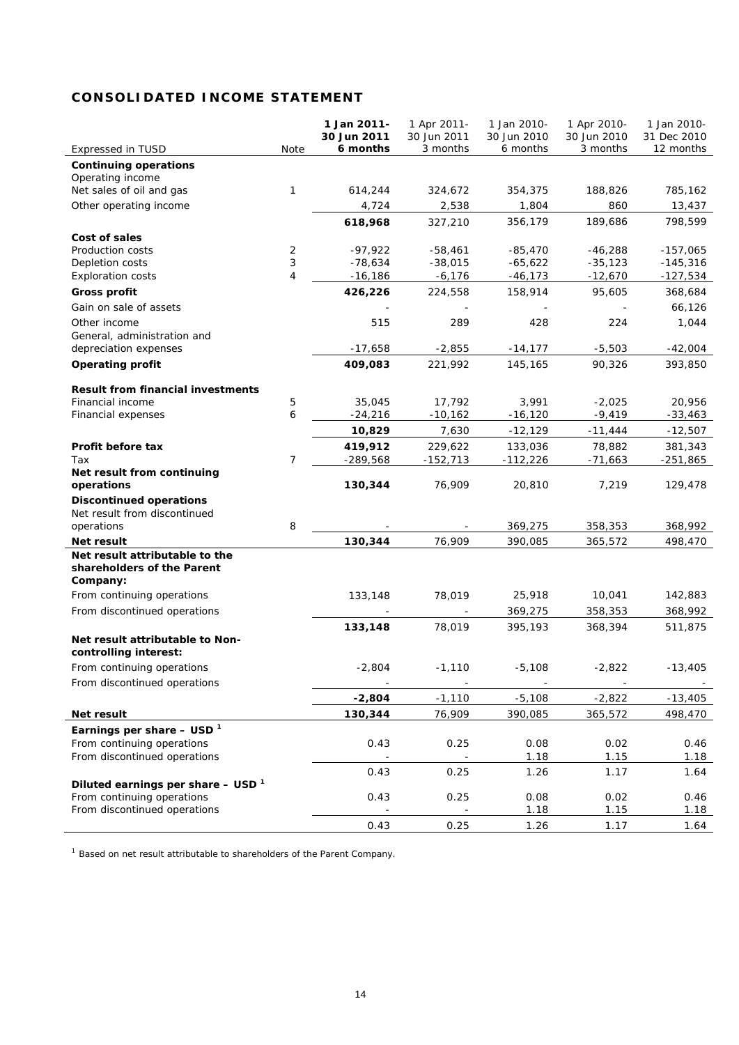## **CONSOLIDATED INCOME STATEMENT**

|                                                                      |                | 1 Jan 2011-<br>30 Jun 2011 | 1 Apr 2011-<br>30 Jun 2011 | 1 Jan 2010-<br>30 Jun 2010 | 1 Apr 2010-<br>30 Jun 2010 | 1 Jan 2010-<br>31 Dec 2010 |
|----------------------------------------------------------------------|----------------|----------------------------|----------------------------|----------------------------|----------------------------|----------------------------|
| <b>Expressed in TUSD</b>                                             | Note           | 6 months                   | 3 months                   | 6 months                   | 3 months                   | 12 months                  |
| Continuing operations<br>Operating income                            |                |                            |                            |                            |                            |                            |
| Net sales of oil and gas                                             | 1              | 614,244                    | 324,672                    | 354,375                    | 188,826                    | 785,162                    |
| Other operating income                                               |                | 4,724                      | 2,538                      | 1,804                      | 860                        | 13,437                     |
|                                                                      |                | 618,968                    | 327,210                    | 356,179                    | 189,686                    | 798,599                    |
| Cost of sales                                                        |                |                            |                            |                            |                            |                            |
| Production costs                                                     | 2              | $-97,922$                  | $-58,461$                  | $-85,470$                  | $-46,288$                  | $-157,065$                 |
| Depletion costs                                                      | 3              | $-78,634$                  | $-38,015$                  | $-65,622$                  | $-35,123$                  | $-145,316$                 |
| <b>Exploration costs</b>                                             | $\overline{4}$ | $-16,186$                  | -6,176                     | $-46, 173$                 | $-12,670$                  | $-127,534$                 |
| <b>Gross profit</b>                                                  |                | 426,226                    | 224,558                    | 158,914                    | 95,605                     | 368,684                    |
| Gain on sale of assets                                               |                |                            |                            |                            |                            | 66,126                     |
| Other income                                                         |                | 515                        | 289                        | 428                        | 224                        | 1,044                      |
| General, administration and                                          |                |                            |                            |                            |                            |                            |
| depreciation expenses                                                |                | $-17,658$                  | $-2,855$                   | $-14,177$                  | $-5,503$                   | $-42,004$                  |
| <b>Operating profit</b>                                              |                | 409,083                    | 221,992                    | 145,165                    | 90,326                     | 393,850                    |
| <b>Result from financial investments</b>                             |                |                            |                            |                            |                            |                            |
| Financial income                                                     | 5              | 35,045                     | 17,792                     | 3,991                      | $-2,025$                   | 20,956                     |
| Financial expenses                                                   | 6              | $-24,216$                  | $-10,162$                  | $-16,120$                  | $-9,419$                   | $-33,463$                  |
|                                                                      |                | 10,829                     | 7,630                      | $-12,129$                  | $-11,444$                  | $-12,507$                  |
| Profit before tax                                                    |                | 419,912                    | 229,622                    | 133,036                    | 78,882                     | 381,343                    |
| Tax                                                                  | 7              | $-289,568$                 | $-152,713$                 | $-112,226$                 | $-71,663$                  | $-251,865$                 |
| Net result from continuing                                           |                |                            |                            |                            |                            |                            |
| operations                                                           |                | 130,344                    | 76,909                     | 20,810                     | 7,219                      | 129,478                    |
| Discontinued operations                                              |                |                            |                            |                            |                            |                            |
| Net result from discontinued<br>operations                           | 8              |                            |                            | 369,275                    | 358,353                    | 368,992                    |
| <b>Net result</b>                                                    |                | 130,344                    | 76,909                     | 390,085                    | 365,572                    | 498,470                    |
| Net result attributable to the                                       |                |                            |                            |                            |                            |                            |
| shareholders of the Parent<br>Company:                               |                |                            |                            |                            |                            |                            |
| From continuing operations                                           |                | 133,148                    | 78,019                     | 25,918                     | 10,041                     | 142,883                    |
| From discontinued operations                                         |                |                            |                            | 369,275                    | 358,353                    | 368,992                    |
|                                                                      |                | 133,148                    | 78,019                     | 395,193                    | 368,394                    | 511,875                    |
| Net result attributable to Non-                                      |                |                            |                            |                            |                            |                            |
| controlling interest:                                                |                |                            |                            |                            |                            |                            |
| From continuing operations                                           |                | $-2,804$                   | $-1,110$                   | $-5,108$                   | $-2,822$                   | $-13,405$                  |
| From discontinued operations                                         |                |                            |                            |                            |                            |                            |
|                                                                      |                | $-2,804$                   | $-1,110$                   | $-5,108$                   | $-2,822$                   | $-13,405$                  |
| Net result                                                           |                | 130,344                    | 76,909                     | 390,085                    | 365,572                    | 498,470                    |
| Earnings per share $-$ USD <sup>1</sup>                              |                |                            |                            |                            |                            |                            |
| From continuing operations                                           |                | 0.43                       | 0.25                       | 0.08                       | 0.02                       | 0.46                       |
| From discontinued operations                                         |                |                            |                            | 1.18                       | 1.15                       | 1.18                       |
|                                                                      |                | 0.43                       | 0.25                       | 1.26                       | 1.17                       | 1.64                       |
| Diluted earnings per share $-$ USD $1$<br>From continuing operations |                | 0.43                       | 0.25                       | 0.08                       | 0.02                       | 0.46                       |
| From discontinued operations                                         |                |                            |                            | 1.18                       | 1.15                       | 1.18                       |
|                                                                      |                | 0.43                       | 0.25                       | 1.26                       | 1.17                       | 1.64                       |

 $<sup>1</sup>$  Based on net result attributable to shareholders of the Parent Company.</sup>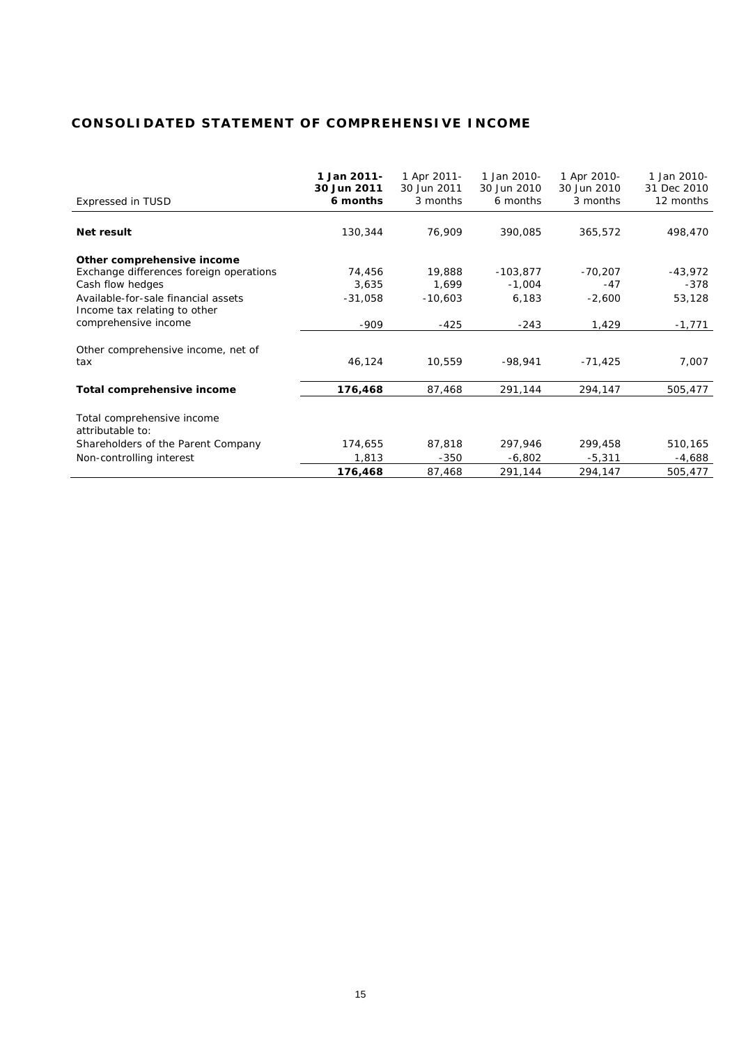## **CONSOLIDATED STATEMENT OF COMPREHENSIVE INCOME**

| Expressed in TUSD                              | 1 Jan 2011-<br>30 Jun 2011<br>6 months | 1 Apr 2011-<br>30 Jun 2011<br>3 months | 1 Jan 2010-<br>30 Jun 2010<br>6 months | 1 Apr 2010-<br>30 Jun 2010<br>3 months | 1 Jan 2010-<br>31 Dec 2010<br>12 months |
|------------------------------------------------|----------------------------------------|----------------------------------------|----------------------------------------|----------------------------------------|-----------------------------------------|
| Net result                                     | 130,344                                | 76,909                                 | 390,085                                | 365,572                                | 498,470                                 |
| Other comprehensive income                     |                                        |                                        |                                        |                                        |                                         |
| Exchange differences foreign operations        | 74,456                                 | 19,888                                 | $-103,877$                             | $-70,207$                              | -43,972                                 |
| Cash flow hedges                               | 3,635                                  | 1,699                                  | $-1,004$                               | $-47$                                  | -378                                    |
| Available-for-sale financial assets            | $-31,058$                              | $-10,603$                              | 6,183                                  | $-2,600$                               | 53,128                                  |
| Income tax relating to other                   |                                        |                                        |                                        |                                        |                                         |
| comprehensive income                           | $-909$                                 | $-425$                                 | $-243$                                 | 1,429                                  | $-1,771$                                |
| Other comprehensive income, net of             |                                        |                                        |                                        |                                        |                                         |
| tax                                            | 46,124                                 | 10,559                                 | -98,941                                | $-71,425$                              | 7,007                                   |
| Total comprehensive income                     | 176,468                                | 87,468                                 | 291,144                                | 294,147                                | 505,477                                 |
| Total comprehensive income<br>attributable to: |                                        |                                        |                                        |                                        |                                         |
| Shareholders of the Parent Company             | 174,655                                | 87,818                                 | 297,946                                | 299,458                                | 510,165                                 |
| Non-controlling interest                       | 1,813                                  | $-350$                                 | $-6,802$                               | $-5,311$                               | -4,688                                  |
|                                                | 176,468                                | 87,468                                 | 291,144                                | 294,147                                | 505,477                                 |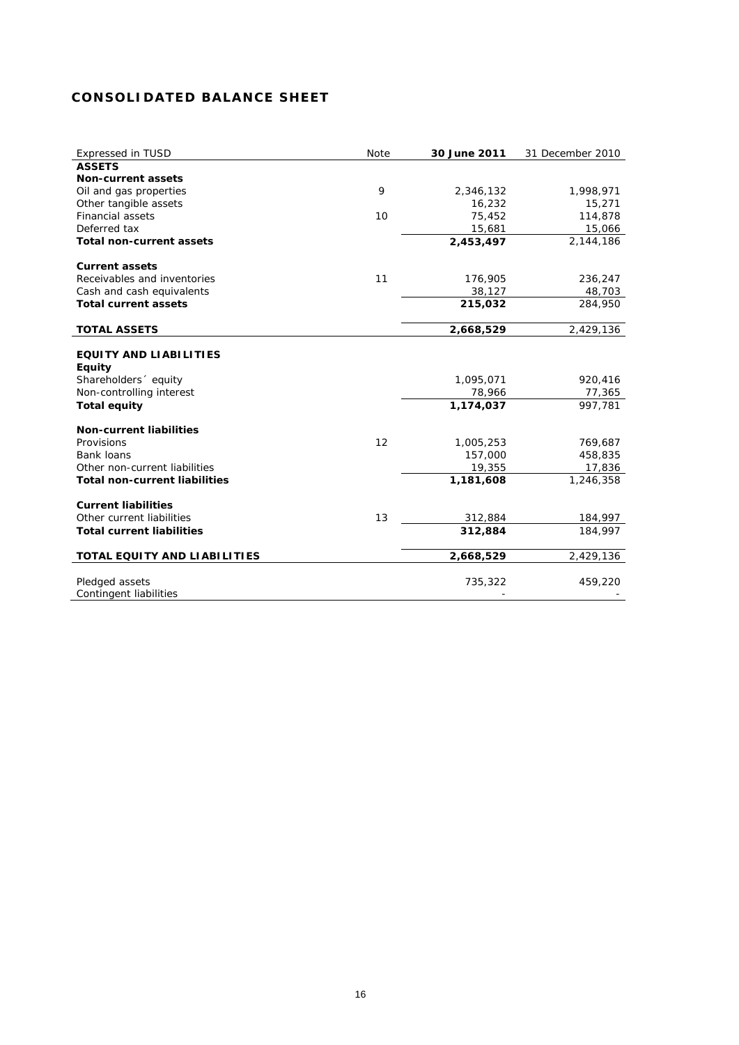## **CONSOLIDATED BALANCE SHEET**

| <b>Expressed in TUSD</b>                        | <b>Note</b> | 30 June 2011 | 31 December 2010 |
|-------------------------------------------------|-------------|--------------|------------------|
| <b>ASSETS</b>                                   |             |              |                  |
| <b>Non-current assets</b>                       |             |              |                  |
| Oil and gas properties                          | 9           | 2,346,132    | 1,998,971        |
| Other tangible assets                           |             | 16,232       | 15,271           |
| <b>Financial assets</b>                         | 10          | 75,452       | 114,878          |
| Deferred tax                                    |             | 15,681       | 15,066           |
| <b>Total non-current assets</b>                 |             | 2,453,497    | 2,144,186        |
| <b>Current assets</b>                           |             |              |                  |
| Receivables and inventories                     | 11          | 176,905      | 236,247          |
| Cash and cash equivalents                       |             | 38,127       | 48,703           |
| <b>Total current assets</b>                     |             | 215,032      | 284,950          |
| <b>TOTAL ASSETS</b>                             |             | 2,668,529    | 2,429,136        |
|                                                 |             |              |                  |
| <b>EQUITY AND LIABILITIES</b>                   |             |              |                  |
| <b>Equity</b>                                   |             |              |                  |
| Shareholders <sup>2</sup> equity                |             | 1,095,071    | 920,416          |
| Non-controlling interest                        |             | 78,966       | 77,365           |
| <b>Total equity</b>                             |             | 1,174,037    | 997,781          |
| <b>Non-current liabilities</b>                  |             |              |                  |
| Provisions                                      | 12          | 1,005,253    | 769,687          |
| <b>Bank loans</b>                               |             | 157,000      | 458,835          |
| Other non-current liabilities                   |             | 19,355       | 17,836           |
| <b>Total non-current liabilities</b>            |             | 1,181,608    | 1,246,358        |
| <b>Current liabilities</b>                      |             |              |                  |
| Other current liabilities                       | 13          | 312,884      | 184,997          |
| <b>Total current liabilities</b>                |             | 312,884      | 184,997          |
| TOTAL EQUITY AND LIABILITIES                    |             | 2,668,529    | 2,429,136        |
|                                                 |             |              |                  |
| Pledged assets<br><b>Contingent liabilities</b> |             | 735,322      | 459,220          |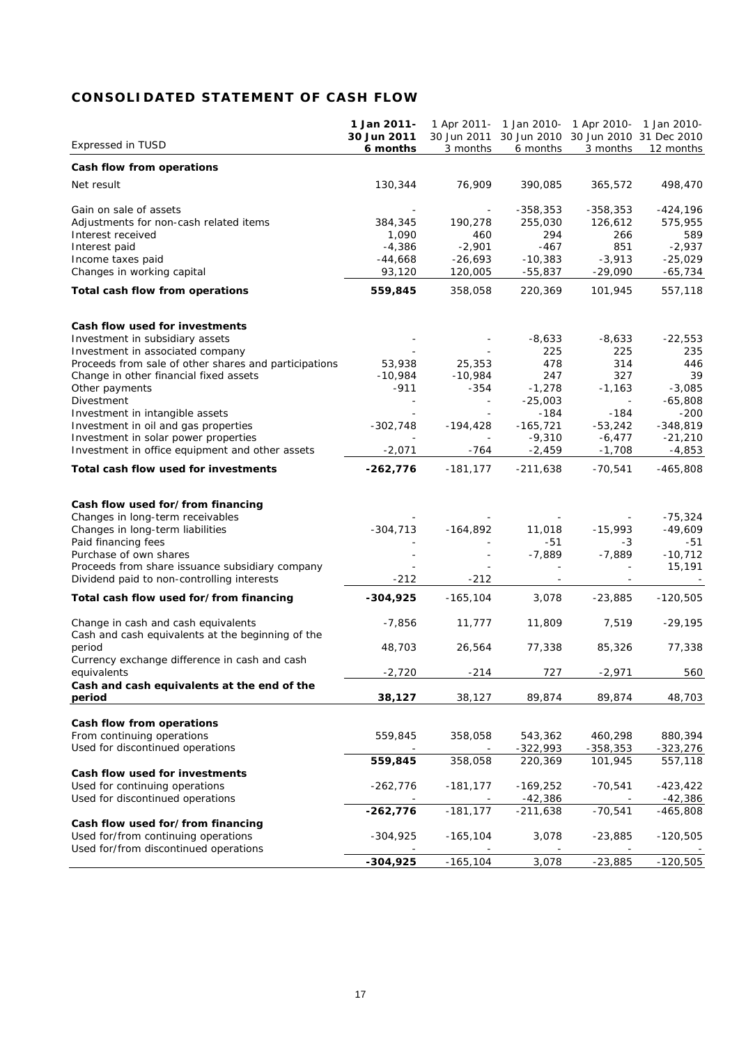## **CONSOLIDATED STATEMENT OF CASH FLOW**

| <b>Expressed in TUSD</b>                                                                                          | 1 Jan 2011-<br>30 Jun 2011<br>6 months | 1 Apr 2011-<br>30 Jun 2011<br>3 months | 6 months   | 1 Jan 2010- 1 Apr 2010-<br>30 Jun 2010 30 Jun 2010 31 Dec 2010<br>3 months | 1 Jan 2010-<br>12 months |
|-------------------------------------------------------------------------------------------------------------------|----------------------------------------|----------------------------------------|------------|----------------------------------------------------------------------------|--------------------------|
| Cash flow from operations                                                                                         |                                        |                                        |            |                                                                            |                          |
| Net result                                                                                                        | 130,344                                | 76,909                                 | 390,085    | 365,572                                                                    | 498,470                  |
| Gain on sale of assets                                                                                            |                                        | $\overline{\phantom{a}}$               | $-358,353$ | $-358,353$                                                                 | -424,196                 |
| Adjustments for non-cash related items                                                                            | 384,345                                | 190,278                                | 255,030    | 126,612                                                                    | 575,955                  |
| Interest received                                                                                                 | 1,090                                  | 460                                    | 294        | 266                                                                        | 589                      |
| Interest paid                                                                                                     | $-4,386$                               | $-2,901$                               | -467       | 851                                                                        | $-2,937$                 |
| Income taxes paid                                                                                                 | $-44,668$                              | $-26,693$                              | $-10,383$  | $-3,913$                                                                   | $-25,029$                |
| Changes in working capital                                                                                        | 93,120                                 | 120,005                                | $-55,837$  | $-29,090$                                                                  | $-65,734$                |
| Total cash flow from operations                                                                                   | 559,845                                | 358,058                                | 220,369    | 101,945                                                                    | 557,118                  |
| Cash flow used for investments                                                                                    |                                        |                                        |            |                                                                            |                          |
| Investment in subsidiary assets                                                                                   |                                        |                                        | -8,633     | $-8,633$                                                                   | $-22,553$                |
| Investment in associated company                                                                                  |                                        |                                        | 225        | 225                                                                        | 235                      |
| Proceeds from sale of other shares and participations                                                             | 53,938                                 | 25,353                                 | 478        | 314                                                                        | 446                      |
| Change in other financial fixed assets                                                                            | $-10,984$                              | $-10,984$                              | 247        | 327                                                                        | 39                       |
| Other payments                                                                                                    | $-911$                                 | $-354$                                 | $-1,278$   | $-1,163$                                                                   | $-3,085$                 |
| Divestment                                                                                                        |                                        | $\overline{\phantom{a}}$               | $-25,003$  | $\overline{\phantom{a}}$                                                   | $-65,808$                |
| Investment in intangible assets                                                                                   |                                        |                                        | $-184$     | $-184$                                                                     | $-200$                   |
| Investment in oil and gas properties                                                                              | $-302,748$                             | -194,428                               | $-165,721$ | $-53,242$                                                                  | $-348,819$               |
| Investment in solar power properties                                                                              |                                        |                                        | $-9,310$   | $-6,477$                                                                   | $-21,210$                |
| Investment in office equipment and other assets                                                                   | $-2,071$                               | -764                                   | $-2,459$   | $-1,708$                                                                   | $-4,853$                 |
| Total cash flow used for investments                                                                              | $-262,776$                             | $-181, 177$                            | $-211,638$ | $-70,541$                                                                  | $-465,808$               |
| Cash flow used for/from financing                                                                                 |                                        |                                        |            |                                                                            |                          |
| Changes in long-term receivables                                                                                  |                                        |                                        |            |                                                                            | -75,324                  |
| Changes in long-term liabilities                                                                                  | $-304,713$                             | $-164,892$                             | 11,018     | $-15,993$                                                                  | $-49,609$                |
| Paid financing fees                                                                                               |                                        |                                        | -51        | -3                                                                         | -51                      |
| Purchase of own shares                                                                                            |                                        |                                        | $-7,889$   | $-7,889$                                                                   | $-10,712$                |
| Proceeds from share issuance subsidiary company                                                                   |                                        |                                        |            |                                                                            | 15,191                   |
| Dividend paid to non-controlling interests                                                                        | $-212$                                 | $-212$                                 |            | $\overline{\phantom{a}}$                                                   |                          |
| Total cash flow used for/from financing                                                                           | $-304,925$                             | $-165, 104$                            | 3,078      | $-23,885$                                                                  | $-120,505$               |
| Change in cash and cash equivalents<br>Cash and cash equivalents at the beginning of the                          | $-7,856$                               | 11,777                                 | 11,809     | 7,519                                                                      | $-29,195$                |
| period<br>Currency exchange difference in cash and cash                                                           | 48,703                                 | 26,564                                 | 77,338     | 85,326                                                                     | 77,338                   |
| equivalents                                                                                                       | $-2.720$                               | $-214$                                 | 727        | $-2.971$                                                                   | 560                      |
| Cash and cash equivalents at the end of the<br>period                                                             | 38,127                                 | 38,127                                 | 89,874     | 89,874                                                                     | 48,703                   |
|                                                                                                                   |                                        |                                        |            |                                                                            |                          |
| Cash flow from operations                                                                                         |                                        |                                        |            |                                                                            |                          |
| From continuing operations                                                                                        | 559,845                                | 358,058                                | 543,362    | 460,298                                                                    | 880,394                  |
| Used for discontinued operations                                                                                  |                                        |                                        | $-322,993$ | $-358,353$                                                                 | $-323,276$               |
|                                                                                                                   | 559,845                                | 358,058                                | 220,369    | 101,945                                                                    | 557,118                  |
| Cash flow used for investments                                                                                    |                                        |                                        |            |                                                                            |                          |
| Used for continuing operations                                                                                    | $-262,776$                             | $-181, 177$                            | $-169,252$ | $-70,541$                                                                  | $-423, 422$              |
| Used for discontinued operations                                                                                  |                                        | $\overline{\phantom{a}}$               | $-42,386$  |                                                                            | $-42,386$                |
|                                                                                                                   | $-262,776$                             | $-181, 177$                            | $-211,638$ | $-70,541$                                                                  | $-465,808$               |
| Cash flow used for/from financing<br>Used for/from continuing operations<br>Used for/from discontinued operations | $-304,925$                             | $-165, 104$                            | 3,078      | $-23,885$                                                                  | $-120,505$               |
|                                                                                                                   | $-304,925$                             | $-165, 104$                            | 3,078      | $-23,885$                                                                  | $-120,505$               |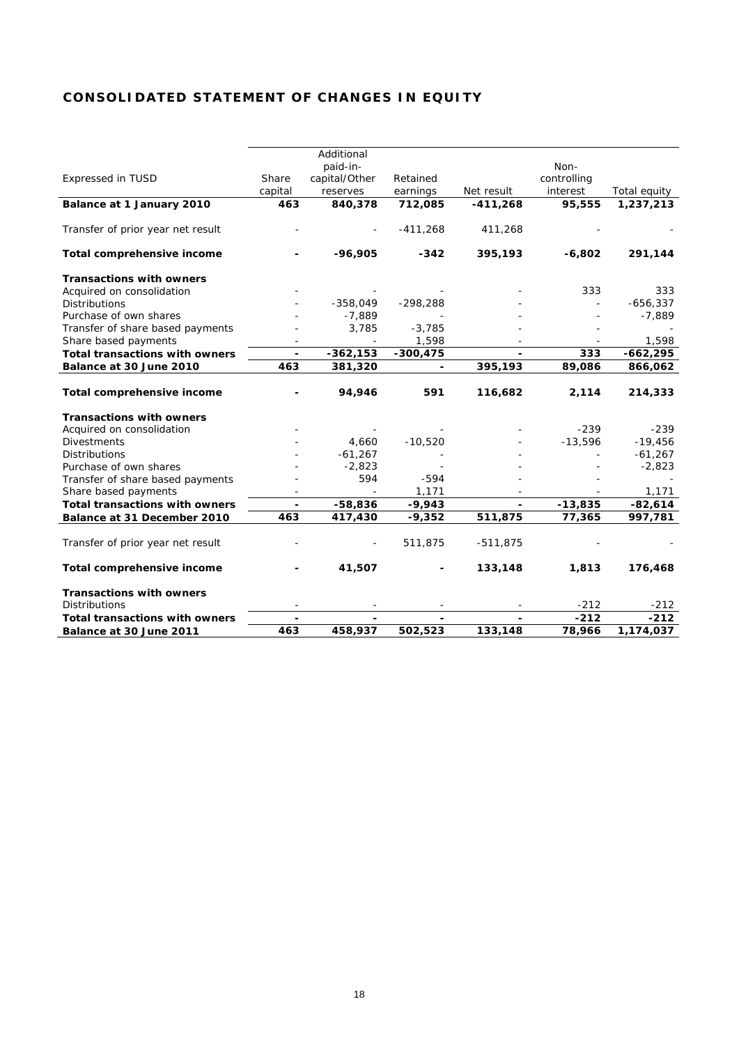## **CONSOLIDATED STATEMENT OF CHANGES IN EQUITY**

|                                       |                          | Additional    |            |            |             |              |
|---------------------------------------|--------------------------|---------------|------------|------------|-------------|--------------|
|                                       |                          | paid-in-      |            |            | Non-        |              |
| <b>Expressed in TUSD</b>              | Share                    | capital/Other | Retained   |            | controlling |              |
|                                       | capital                  | reserves      | earnings   | Net result | interest    | Total equity |
| Balance at 1 January 2010             | 463                      | 840,378       | 712,085    | $-411,268$ | 95,555      | 1,237,213    |
| Transfer of prior year net result     |                          |               | $-411,268$ | 411,268    |             |              |
| Total comprehensive income            |                          | $-96,905$     | $-342$     | 395,193    | $-6,802$    | 291,144      |
| <b>Transactions with owners</b>       |                          |               |            |            |             |              |
| Acquired on consolidation             |                          |               |            |            | 333         | 333          |
| Distributions                         |                          | $-358,049$    | $-298,288$ |            |             | $-656,337$   |
| Purchase of own shares                |                          | $-7,889$      |            |            |             | $-7,889$     |
| Transfer of share based payments      |                          | 3,785         | $-3,785$   |            |             |              |
| Share based payments                  |                          |               | 1,598      |            |             | 1,598        |
| <b>Total transactions with owners</b> | $\blacksquare$           | $-362, 153$   | $-300,475$ | ۰          | 333         | $-662,295$   |
| Balance at 30 June 2010               | 463                      | 381,320       |            | 395,193    | 89,086      | 866,062      |
| Total comprehensive income            |                          | 94,946        | 591        | 116,682    | 2,114       | 214,333      |
| <b>Transactions with owners</b>       |                          |               |            |            |             |              |
| Acquired on consolidation             |                          |               |            |            | $-239$      | $-239$       |
| <b>Divestments</b>                    |                          | 4,660         | $-10,520$  |            | $-13,596$   | $-19,456$    |
| <b>Distributions</b>                  |                          | $-61,267$     |            |            |             | $-61,267$    |
| Purchase of own shares                |                          | $-2,823$      |            |            |             | $-2,823$     |
| Transfer of share based payments      |                          | 594           | $-594$     |            |             |              |
| Share based payments                  |                          |               | 1,171      |            |             | 1,171        |
| <b>Total transactions with owners</b> | $\overline{\phantom{a}}$ | $-58,836$     | $-9,943$   |            | $-13,835$   | $-82,614$    |
| Balance at 31 December 2010           | 463                      | 417,430       | $-9,352$   | 511,875    | 77,365      | 997,781      |
| Transfer of prior year net result     |                          |               | 511,875    | $-511,875$ |             |              |
|                                       |                          |               |            |            |             |              |
| Total comprehensive income            |                          | 41,507        |            | 133,148    | 1,813       | 176,468      |
| <b>Transactions with owners</b>       |                          |               |            |            |             |              |
| <b>Distributions</b>                  |                          |               |            |            | $-212$      | $-212$       |
| <b>Total transactions with owners</b> |                          |               |            |            | $-212$      | $-212$       |
| Balance at 30 June 2011               | 463                      | 458,937       | 502,523    | 133,148    | 78,966      | 1,174,037    |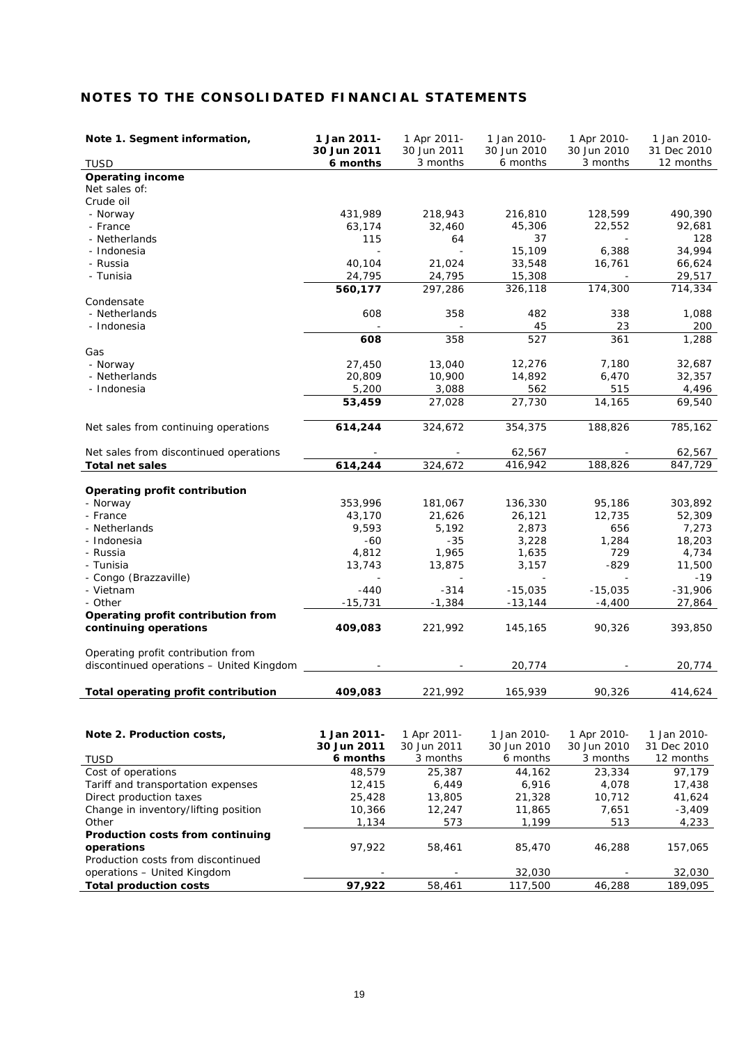| Note 1. Segment information,             | 1 Jan 2011-<br>30 Jun 2011 | 1 Apr 2011-<br>30 Jun 2011 | 1 Jan 2010-<br>30 Jun 2010 | 1 Apr 2010-<br>30 Jun 2010 | 1 Jan 2010-<br>31 Dec 2010 |
|------------------------------------------|----------------------------|----------------------------|----------------------------|----------------------------|----------------------------|
| <b>TUSD</b>                              | 6 months                   | 3 months                   | 6 months                   | 3 months                   | 12 months                  |
| <b>Operating income</b>                  |                            |                            |                            |                            |                            |
| Net sales of:                            |                            |                            |                            |                            |                            |
| Crude oil                                |                            |                            |                            |                            |                            |
| - Norway                                 | 431,989                    | 218,943                    | 216,810                    | 128,599                    | 490,390                    |
| - France                                 | 63,174                     | 32,460                     | 45,306                     | 22,552                     | 92,681                     |
| - Netherlands                            | 115                        | 64                         | 37                         |                            | 128                        |
| - Indonesia                              | $\overline{\phantom{a}}$   |                            | 15,109                     | 6,388                      | 34,994                     |
| - Russia                                 | 40,104                     | 21,024                     | 33,548                     | 16,761                     | 66,624                     |
| - Tunisia                                | 24,795                     | 24,795                     | 15,308                     |                            | 29,517                     |
|                                          | 560,177                    | 297,286                    | 326,118                    | 174,300                    | 714,334                    |
| Condensate                               |                            |                            |                            |                            |                            |
| - Netherlands                            | 608                        | 358                        | 482                        | 338                        | 1,088                      |
| - Indonesia                              |                            |                            | 45                         | 23                         | 200                        |
|                                          | 608                        | 358                        | 527                        | 361                        | 1,288                      |
| Gas                                      |                            |                            |                            |                            |                            |
| - Norway                                 | 27,450                     | 13,040                     | 12,276                     | 7,180                      | 32,687                     |
| - Netherlands                            | 20,809                     | 10,900                     | 14,892                     | 6,470<br>515               | 32,357                     |
| - Indonesia                              | 5,200                      | 3,088                      | 562                        |                            | 4,496                      |
|                                          | 53,459                     | 27,028                     | 27,730                     | 14,165                     | 69,540                     |
| Net sales from continuing operations     | 614,244                    | 324,672                    | 354,375                    | 188,826                    | 785,162                    |
|                                          |                            |                            |                            |                            |                            |
| Net sales from discontinued operations   |                            |                            | 62,567                     |                            | 62,567                     |
| <b>Total net sales</b>                   | 614,244                    | 324,672                    | 416,942                    | 188,826                    | 847,729                    |
| Operating profit contribution            |                            |                            |                            |                            |                            |
| - Norway                                 | 353,996                    | 181,067                    | 136,330                    | 95,186                     | 303,892                    |
| - France                                 | 43,170                     | 21,626                     | 26,121                     | 12,735                     | 52,309                     |
| - Netherlands                            | 9,593                      | 5,192                      | 2,873                      | 656                        | 7,273                      |
| - Indonesia                              | $-60$                      | $-35$                      | 3,228                      | 1,284                      | 18,203                     |
| - Russia                                 | 4,812                      | 1,965                      | 1,635                      | 729                        | 4,734                      |
| - Tunisia                                | 13,743                     | 13,875                     | 3,157                      | $-829$                     | 11,500                     |
| - Congo (Brazzaville)                    |                            |                            |                            |                            | $-19$                      |
| - Vietnam                                | $-440$                     | $-314$                     | $-15,035$                  | $-15,035$                  | $-31,906$                  |
| - Other                                  | $-15,731$                  | $-1,384$                   | $-13,144$                  | $-4,400$                   | 27,864                     |
| Operating profit contribution from       |                            |                            |                            |                            |                            |
| continuing operations                    | 409,083                    | 221,992                    | 145,165                    | 90,326                     | 393,850                    |
|                                          |                            |                            |                            |                            |                            |
| Operating profit contribution from       |                            |                            |                            |                            |                            |
| discontinued operations - United Kingdom |                            |                            | 20,774                     |                            | 20,774                     |
| Total operating profit contribution      | 409,083                    | 221,992                    | 165,939                    | 90,326                     | 414,624                    |
|                                          |                            |                            |                            |                            |                            |
| Note 2. Production costs,                | 1 Jan 2011-                | 1 Apr 2011-                | 1 Jan 2010-                | 1 Apr 2010-                | 1 Jan 2010-                |
|                                          | 30 Jun 2011                | 30 Jun 2011                | 30 Jun 2010                | 30 Jun 2010                | 31 Dec 2010                |
| THISD                                    | 6 months                   | 3 months                   | 6 months                   | 3 months                   | 12 months                  |

## **NOTES TO THE CONSOLIDATED FINANCIAL STATEMENTS**

| Note 2. Production costs,            | 1 Jan 2011- | 1 Apr 2011- | 1 Jan 2010- | 1 Apr 2010- | 1 Jan 2010- |
|--------------------------------------|-------------|-------------|-------------|-------------|-------------|
|                                      | 30 Jun 2011 | 30 Jun 2011 | 30 Jun 2010 | 30 Jun 2010 | 31 Dec 2010 |
| <b>TUSD</b>                          | 6 months    | 3 months    | 6 months    | 3 months    | 12 months   |
| Cost of operations                   | 48,579      | 25,387      | 44.162      | 23,334      | 97.179      |
| Tariff and transportation expenses   | 12,415      | 6.449       | 6.916       | 4.078       | 17,438      |
| Direct production taxes              | 25,428      | 13,805      | 21,328      | 10,712      | 41,624      |
| Change in inventory/lifting position | 10,366      | 12,247      | 11,865      | 7.651       | $-3,409$    |
| Other                                | 1,134       | 573         | 1,199       | 513         | 4,233       |
| Production costs from continuing     |             |             |             |             |             |
| operations                           | 97.922      | 58,461      | 85,470      | 46,288      | 157,065     |
| Production costs from discontinued   |             |             |             |             |             |
| operations - United Kingdom          |             |             | 32,030      |             | 32,030      |
| <b>Total production costs</b>        | 97,922      | 58,461      | 117,500     | 46,288      | 189,095     |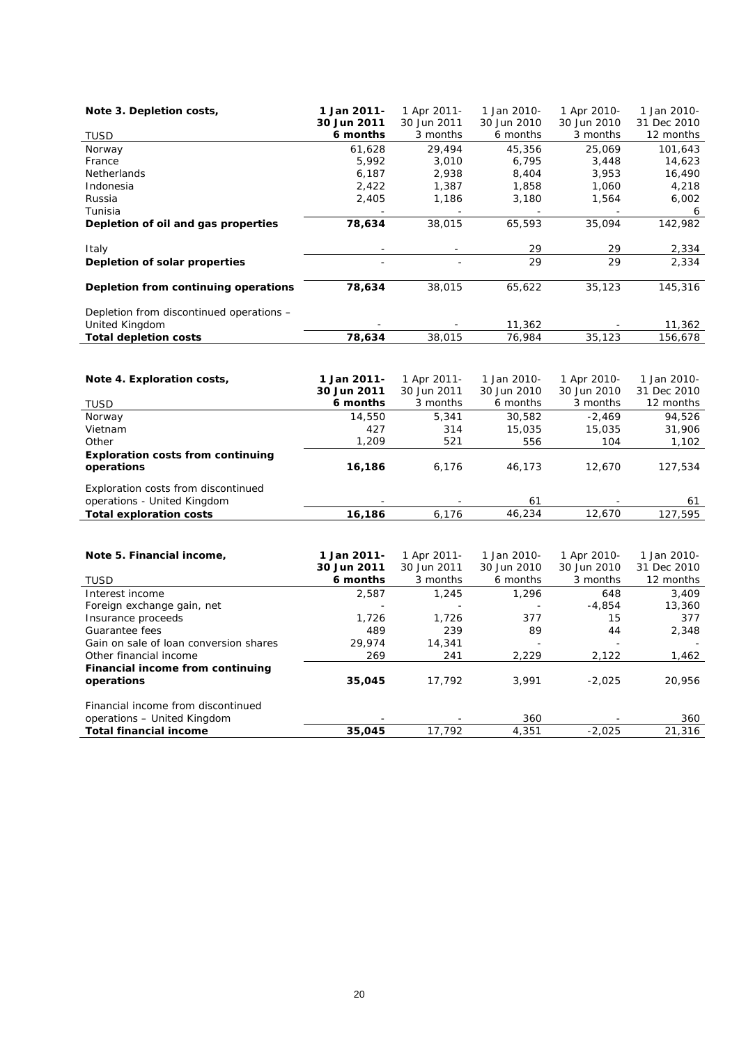| Note 3. Depletion costs,                 | 1 Jan 2011- | 1 Apr 2011- | 1 Jan 2010- | 1 Apr 2010- | 1 Jan 2010- |
|------------------------------------------|-------------|-------------|-------------|-------------|-------------|
|                                          | 30 Jun 2011 | 30 Jun 2011 | 30 Jun 2010 | 30 Jun 2010 | 31 Dec 2010 |
| <b>TUSD</b>                              | 6 months    | 3 months    | 6 months    | 3 months    | 12 months   |
| Norway                                   | 61.628      | 29.494      | 45,356      | 25.069      | 101,643     |
| France                                   | 5,992       | 3,010       | 6,795       | 3,448       | 14,623      |
| <b>Netherlands</b>                       | 6,187       | 2,938       | 8,404       | 3,953       | 16,490      |
| Indonesia                                | 2,422       | 1,387       | 1,858       | 1,060       | 4,218       |
| Russia                                   | 2,405       | 1,186       | 3,180       | 1,564       | 6,002       |
| Tunisia                                  |             |             |             |             | 6           |
| Depletion of oil and gas properties      | 78,634      | 38,015      | 65,593      | 35,094      | 142,982     |
| Italy                                    |             |             | 29          | 29          | 2,334       |
| Depletion of solar properties            |             |             | 29          | 29          | 2,334       |
|                                          |             |             |             |             |             |
| Depletion from continuing operations     | 78,634      | 38,015      | 65,622      | 35,123      | 145,316     |
| Depletion from discontinued operations - |             |             |             |             |             |
| United Kingdom                           |             |             | 11,362      |             | 11,362      |
| <b>Total depletion costs</b>             | 78,634      | 38,015      | 76,984      | 35,123      | 156,678     |
|                                          |             |             |             |             |             |
| Note 4. Exploration costs,               | 1 Jan 2011- | 1 Apr 2011- | 1 Jan 2010- | 1 Apr 2010- | 1 Jan 2010- |
|                                          | 30 Jun 2011 | 30 Jun 2011 | 30 Jun 2010 | 30 Jun 2010 | 31 Dec 2010 |
| <b>TUSD</b>                              | 6 months    | 3 months    | 6 months    | 3 months    | 12 months   |
| Norway                                   | 14,550      | 5,341       | 30,582      | $-2,469$    | 94,526      |
| Vietnam                                  | 427         | 314         | 15,035      | 15,035      | 31,906      |
| Other                                    | 1,209       | 521         | 556         | 104         | 1,102       |
| <b>Exploration costs from continuing</b> |             |             |             |             |             |
| operations                               | 16,186      | 6,176       | 46,173      | 12,670      | 127,534     |
| Exploration costs from discontinued      |             |             |             |             |             |
| operations - United Kingdom              |             |             | 61          |             | 61          |
| <b>Total exploration costs</b>           | 16,186      | 6,176       | 46,234      | 12,670      | 127,595     |

| Note 5. Financial income,              | 1 Jan 2011-<br>30 Jun 2011 | 1 Apr 2011-<br>30 Jun 2011 | 1 Jan 2010-<br>30 Jun 2010 | 1 Apr 2010-<br>30 Jun 2010 | 1 Jan 2010-<br>31 Dec 2010 |
|----------------------------------------|----------------------------|----------------------------|----------------------------|----------------------------|----------------------------|
| <b>TUSD</b>                            | 6 months                   | 3 months                   | 6 months                   | 3 months                   | 12 months                  |
| Interest income                        | 2.587                      | 1,245                      | 1,296                      | 648                        | 3,409                      |
| Foreign exchange gain, net             | $\overline{\phantom{0}}$   |                            |                            | $-4.854$                   | 13,360                     |
| Insurance proceeds                     | 1.726                      | 1.726                      | 377                        | 15                         | 377                        |
| Guarantee fees                         | 489                        | 239                        | 89                         | 44                         | 2,348                      |
| Gain on sale of loan conversion shares | 29.974                     | 14,341                     |                            | $\overline{\phantom{a}}$   |                            |
| Other financial income                 | 269                        | 241                        | 2.229                      | 2,122                      | 1,462                      |
| Financial income from continuing       |                            |                            |                            |                            |                            |
| operations                             | 35,045                     | 17.792                     | 3.991                      | $-2.025$                   | 20,956                     |
| Financial income from discontinued     |                            |                            |                            |                            |                            |
| operations - United Kingdom            |                            |                            | 360                        |                            | 360                        |
| <b>Total financial income</b>          | 35,045                     | 17.792                     | 4,351                      | $-2.025$                   | 21,316                     |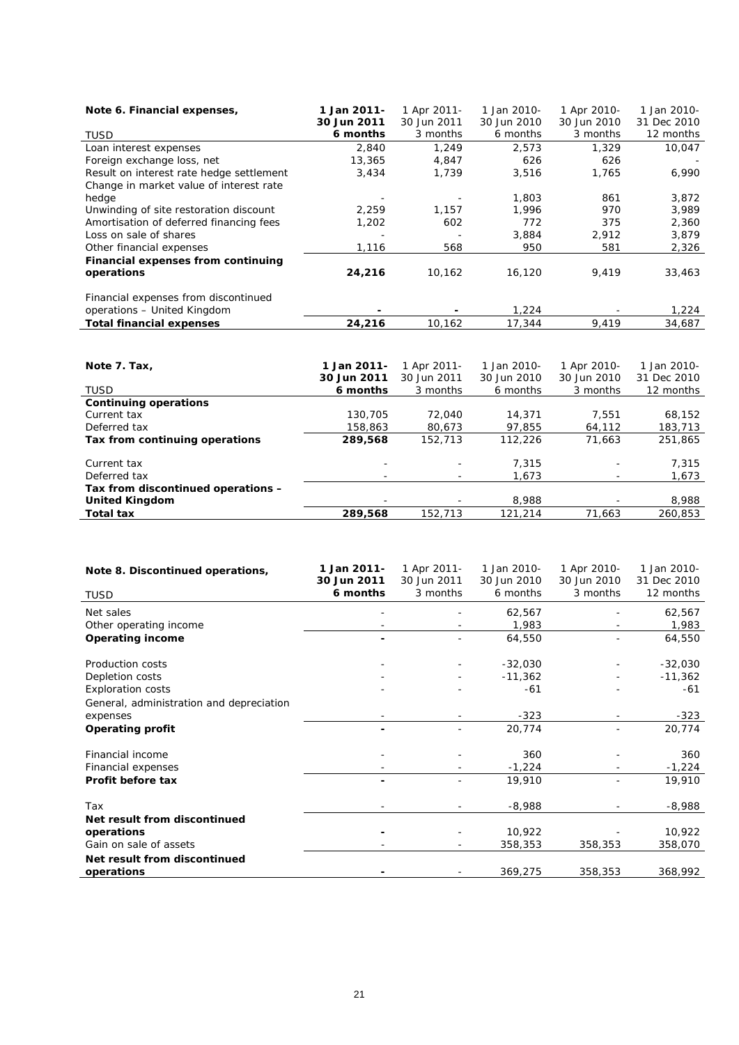| Note 6. Financial expenses,              | 1 Jan 2011- | 1 Apr 2011- | 1 Jan 2010- | 1 Apr 2010- | 1 Jan 2010- |
|------------------------------------------|-------------|-------------|-------------|-------------|-------------|
|                                          | 30 Jun 2011 | 30 Jun 2011 | 30 Jun 2010 | 30 Jun 2010 | 31 Dec 2010 |
| <b>TUSD</b>                              | 6 months    | 3 months    | 6 months    | 3 months    | 12 months   |
| Loan interest expenses                   | 2.840       | 1.249       | 2,573       | 1.329       | 10.047      |
| Foreign exchange loss, net               | 13,365      | 4,847       | 626         | 626         |             |
| Result on interest rate hedge settlement | 3.434       | 1.739       | 3,516       | 1,765       | 6,990       |
| Change in market value of interest rate  |             |             |             |             |             |
| hedge                                    |             |             | 1,803       | 861         | 3,872       |
| Unwinding of site restoration discount   | 2.259       | 1.157       | 1.996       | 970         | 3,989       |
| Amortisation of deferred financing fees  | 1,202       | 602         | 772         | 375         | 2,360       |
| Loss on sale of shares                   |             |             | 3,884       | 2,912       | 3,879       |
| Other financial expenses                 | 1,116       | 568         | 950         | 581         | 2,326       |
| Financial expenses from continuing       |             |             |             |             |             |
| operations                               | 24,216      | 10,162      | 16,120      | 9,419       | 33,463      |
| Financial expenses from discontinued     |             |             |             |             |             |
| operations - United Kingdom              |             |             | 1,224       |             | 1,224       |
| <b>Total financial expenses</b>          | 24,216      | 10,162      | 17,344      | 9.419       | 34,687      |

| Note 7. Tax,                       | 1 Jan 2011-<br>30 Jun 2011 | 1 Apr 2011-<br>30 Jun 2011 | 1 Jan 2010-<br>30 Jun 2010 | 1 Apr 2010-<br>30 Jun 2010 | 1 Jan 2010-<br>31 Dec 2010 |
|------------------------------------|----------------------------|----------------------------|----------------------------|----------------------------|----------------------------|
| <b>TUSD</b>                        | 6 months                   | 3 months                   | 6 months                   | 3 months                   | 12 months                  |
| <b>Continuing operations</b>       |                            |                            |                            |                            |                            |
| Current tax                        | 130,705                    | 72.040                     | 14,371                     | 7.551                      | 68,152                     |
| Deferred tax                       | 158,863                    | 80.673                     | 97.855                     | 64,112                     | 183,713                    |
| Tax from continuing operations     | 289,568                    | 152,713                    | 112,226                    | 71.663                     | 251,865                    |
| Current tax                        |                            |                            | 7.315                      | $\overline{\phantom{0}}$   | 7.315                      |
| Deferred tax                       |                            |                            | 1,673                      |                            | 1,673                      |
| Tax from discontinued operations - |                            |                            |                            |                            |                            |
| <b>United Kingdom</b>              |                            |                            | 8,988                      |                            | 8,988                      |
| Total tax                          | 289,568                    | 152,713                    | 121,214                    | 71.663                     | 260.853                    |
|                                    |                            |                            |                            |                            |                            |

| Note 8. Discontinued operations,         | 1 Jan 2011- | 1 Apr 2011- | 1 Jan 2010- | 1 Apr 2010- | 1 Jan 2010- |
|------------------------------------------|-------------|-------------|-------------|-------------|-------------|
|                                          | 30 Jun 2011 | 30 Jun 2011 | 30 Jun 2010 | 30 Jun 2010 | 31 Dec 2010 |
| <b>TUSD</b>                              | 6 months    | 3 months    | 6 months    | 3 months    | 12 months   |
| Net sales                                |             |             | 62,567      |             | 62,567      |
| Other operating income                   |             |             | 1,983       |             | 1,983       |
| <b>Operating income</b>                  |             |             | 64,550      |             | 64,550      |
| Production costs                         |             |             | $-32,030$   |             | $-32,030$   |
| Depletion costs                          |             |             | $-11,362$   |             | $-11,362$   |
| <b>Exploration costs</b>                 |             |             | $-61$       |             | $-61$       |
| General, administration and depreciation |             |             |             |             |             |
| expenses                                 |             |             | $-323$      |             | $-323$      |
| <b>Operating profit</b>                  |             |             | 20,774      |             | 20,774      |
| Financial income                         |             |             | 360         |             | 360         |
| Financial expenses                       |             |             | $-1,224$    |             | $-1,224$    |
| Profit before tax                        |             |             | 19,910      |             | 19,910      |
| Tax                                      |             |             | $-8,988$    |             | $-8,988$    |
| Net result from discontinued             |             |             |             |             |             |
| operations                               |             |             | 10,922      |             | 10,922      |
| Gain on sale of assets                   |             |             | 358,353     | 358,353     | 358,070     |
| Net result from discontinued             |             |             |             |             |             |
| operations                               |             |             | 369,275     | 358,353     | 368,992     |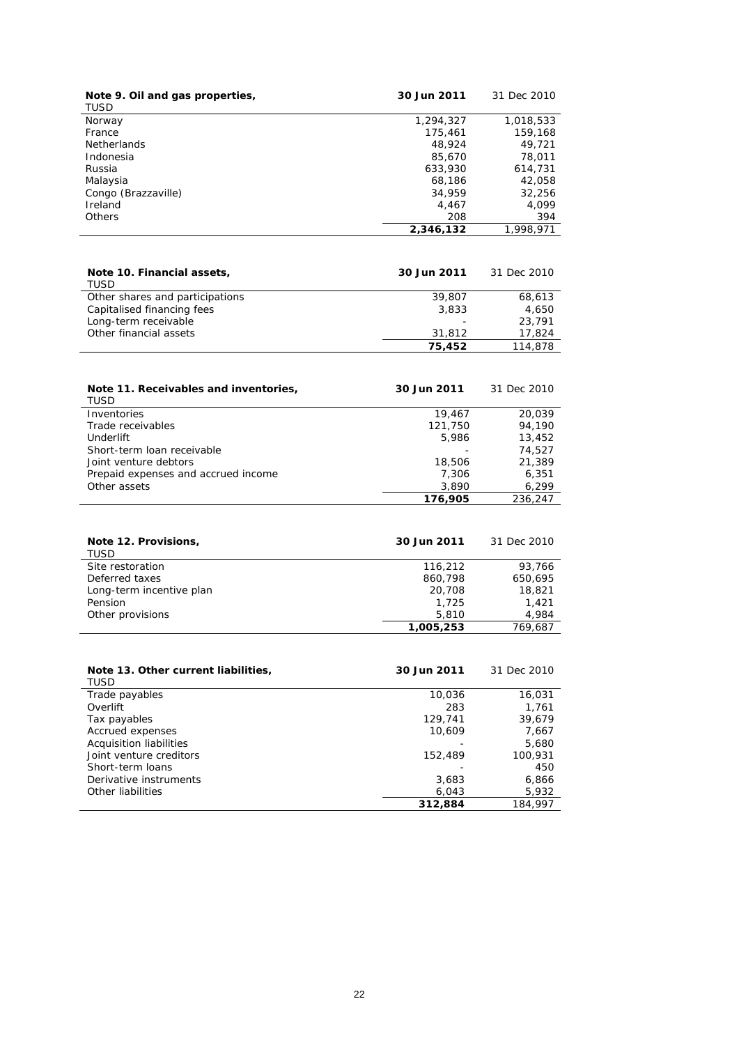| Note 9. Oil and gas properties,<br>TUSD | 30 Jun 2011 | 31 Dec 2010 |
|-----------------------------------------|-------------|-------------|
| Norway                                  | 1,294,327   | 1,018,533   |
| France                                  | 175,461     | 159,168     |
| <b>Netherlands</b>                      | 48,924      | 49.721      |
| Indonesia                               | 85,670      | 78,011      |
| Russia                                  | 633,930     | 614,731     |
| Malaysia                                | 68,186      | 42,058      |
| Congo (Brazzaville)                     | 34,959      | 32,256      |
| Ireland                                 | 4,467       | 4,099       |
| <b>Others</b>                           | 208         | 394         |
|                                         | 2,346,132   | 1.998.971   |

| Note 10. Financial assets,<br>TUSD | 30 Jun 2011 | 31 Dec 2010 |
|------------------------------------|-------------|-------------|
| Other shares and participations    | 39,807      | 68,613      |
| Capitalised financing fees         | 3.833       | 4.650       |
| Long-term receivable               |             | 23.791      |
| Other financial assets             | 31,812      | 17,824      |
|                                    | 75,452      | 114,878     |

| Note 11. Receivables and inventories,<br>TUSD | 30 Jun 2011 | 31 Dec 2010 |
|-----------------------------------------------|-------------|-------------|
| Inventories                                   | 19,467      | 20,039      |
| Trade receivables                             | 121,750     | 94.190      |
| Underlift                                     | 5,986       | 13,452      |
| Short-term loan receivable                    |             | 74.527      |
| Joint venture debtors                         | 18,506      | 21,389      |
| Prepaid expenses and accrued income           | 7.306       | 6,351       |
| Other assets                                  | 3,890       | 6,299       |
|                                               | 176,905     | 236.247     |

| Note 12. Provisions,<br><b>TUSD</b> | 30 Jun 2011 | 31 Dec 2010 |
|-------------------------------------|-------------|-------------|
| Site restoration                    | 116,212     | 93.766      |
| Deferred taxes                      | 860,798     | 650,695     |
| Long-term incentive plan            | 20,708      | 18,821      |
| Pension                             | 1,725       | 1,421       |
| Other provisions                    | 5,810       | 4.984       |
|                                     | 1,005,253   | 769.687     |

| Note 13. Other current liabilities,<br>TUSD | 30 Jun 2011 | 31 Dec 2010 |
|---------------------------------------------|-------------|-------------|
| Trade payables                              | 10,036      | 16,031      |
| Overlift                                    | 283         | 1,761       |
| Tax payables                                | 129,741     | 39,679      |
| Accrued expenses                            | 10,609      | 7,667       |
| Acquisition liabilities                     |             | 5,680       |
| Joint venture creditors                     | 152,489     | 100,931     |
| Short-term loans                            |             | 450         |
| Derivative instruments                      | 3,683       | 6,866       |
| Other liabilities                           | 6,043       | 5,932       |
|                                             | 312.884     | 184,997     |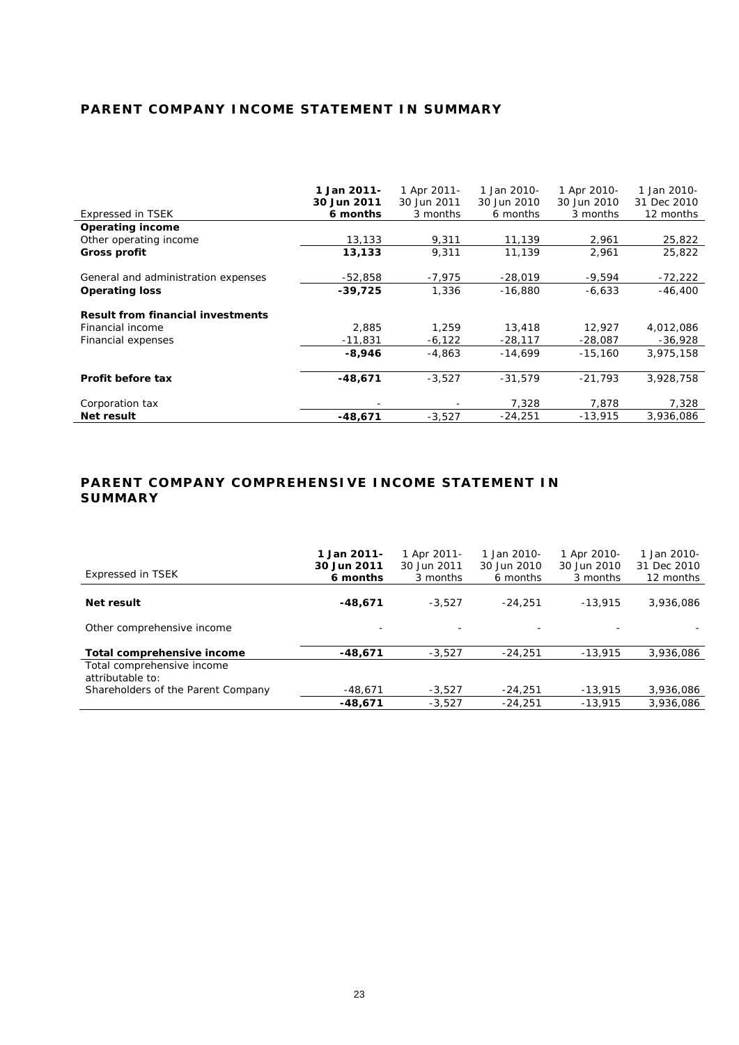## **PARENT COMPANY INCOME STATEMENT IN SUMMARY**

|                                          | 1 Jan 2011- | 1 Apr 2011- | 1 Jan 2010- | 1 Apr 2010- | 1 Jan 2010- |
|------------------------------------------|-------------|-------------|-------------|-------------|-------------|
|                                          | 30 Jun 2011 | 30 Jun 2011 | 30 Jun 2010 | 30 Jun 2010 | 31 Dec 2010 |
| <b>Expressed in TSEK</b>                 | 6 months    | 3 months    | 6 months    | 3 months    | 12 months   |
| <b>Operating income</b>                  |             |             |             |             |             |
| Other operating income                   | 13,133      | 9,311       | 11,139      | 2,961       | 25,822      |
| Gross profit                             | 13,133      | 9,311       | 11.139      | 2,961       | 25,822      |
| General and administration expenses      | $-52,858$   | -7,975      | $-28,019$   | $-9,594$    | -72,222     |
| <b>Operating loss</b>                    | $-39,725$   | 1,336       | $-16,880$   | $-6,633$    | $-46,400$   |
| <b>Result from financial investments</b> |             |             |             |             |             |
| Financial income                         | 2,885       | 1,259       | 13,418      | 12.927      | 4,012,086   |
| Financial expenses                       | $-11,831$   | $-6,122$    | $-28,117$   | -28,087     | $-36,928$   |
|                                          | $-8,946$    | $-4.863$    | $-14.699$   | $-15.160$   | 3,975,158   |
| Profit before tax                        | $-48,671$   | $-3,527$    | $-31,579$   | $-21,793$   | 3,928,758   |
| Corporation tax                          |             |             | 7,328       | 7,878       | 7,328       |
| Net result                               | $-48.671$   | $-3,527$    | $-24.251$   | $-13.915$   | 3.936.086   |

## **PARENT COMPANY COMPREHENSIVE INCOME STATEMENT IN SUMMARY**

| Expressed in TSEK                              | 1 Jan 2011-<br>30 Jun 2011<br>6 months | 1 Apr 2011-<br>30 Jun 2011<br>3 months | 1 Jan 2010-<br>30 Jun 2010<br>6 months | 1 Apr 2010-<br>30 Jun 2010<br>3 months | 1 Jan 2010-<br>31 Dec 2010<br>12 months |
|------------------------------------------------|----------------------------------------|----------------------------------------|----------------------------------------|----------------------------------------|-----------------------------------------|
|                                                |                                        |                                        |                                        |                                        |                                         |
| Net result                                     | $-48,671$                              | $-3.527$                               | $-24.251$                              | $-13.915$                              | 3,936,086                               |
| Other comprehensive income                     |                                        |                                        |                                        |                                        |                                         |
| Total comprehensive income                     | $-48,671$                              | $-3,527$                               | $-24,251$                              | $-13,915$                              | 3,936,086                               |
| Total comprehensive income<br>attributable to: |                                        |                                        |                                        |                                        |                                         |
| Shareholders of the Parent Company             | $-48.671$                              | $-3.527$                               | $-24,251$                              | $-13,915$                              | 3,936,086                               |
|                                                | $-48.671$                              | $-3.527$                               | $-24.251$                              | $-13.915$                              | 3,936,086                               |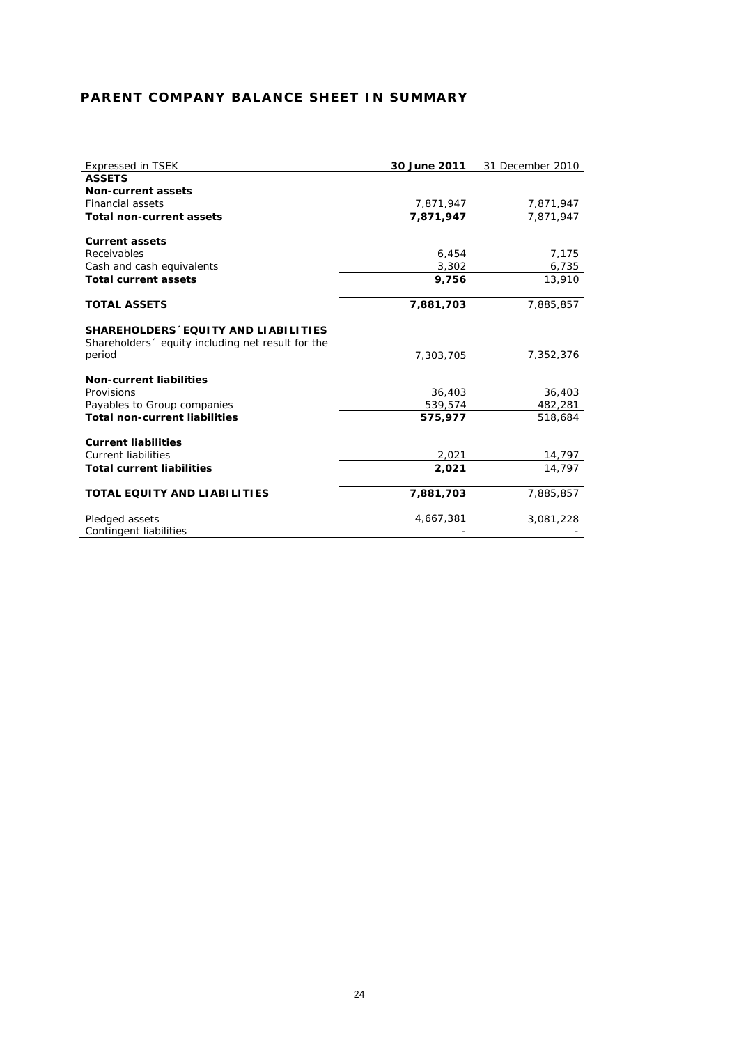## **PARENT COMPANY BALANCE SHEET IN SUMMARY**

| <b>Expressed in TSEK</b>                                                                 | 30 June 2011 | 31 December 2010 |
|------------------------------------------------------------------------------------------|--------------|------------------|
| <b>ASSETS</b>                                                                            |              |                  |
| <b>Non-current assets</b>                                                                |              |                  |
| <b>Financial assets</b>                                                                  | 7,871,947    | 7,871,947        |
| <b>Total non-current assets</b>                                                          | 7.871.947    | 7.871.947        |
|                                                                                          |              |                  |
| <b>Current assets</b>                                                                    |              |                  |
| Receivables                                                                              | 6,454        | 7,175            |
| Cash and cash equivalents                                                                | 3,302        | 6,735            |
| <b>Total current assets</b>                                                              | 9,756        | 13,910           |
| <b>TOTAL ASSETS</b>                                                                      | 7,881,703    | 7,885,857        |
|                                                                                          |              |                  |
| SHAREHOLDERS EQUITY AND LIABILITIES<br>Shareholders 'equity including net result for the |              |                  |
| period                                                                                   | 7,303,705    | 7,352,376        |
| <b>Non-current liabilities</b>                                                           |              |                  |
| Provisions                                                                               | 36,403       | 36,403           |
| Payables to Group companies                                                              | 539,574      | 482,281          |
| <b>Total non-current liabilities</b>                                                     | 575,977      | 518,684          |
|                                                                                          |              |                  |
| <b>Current liabilities</b>                                                               |              |                  |
| <b>Current liabilities</b>                                                               | 2,021        | 14,797           |
| <b>Total current liabilities</b>                                                         | 2,021        | 14,797           |
| <b>TOTAL EQUITY AND LIABILITIES</b>                                                      | 7,881,703    | 7,885,857        |
|                                                                                          |              |                  |
| Pledged assets                                                                           | 4,667,381    | 3,081,228        |
| Contingent liabilities                                                                   |              |                  |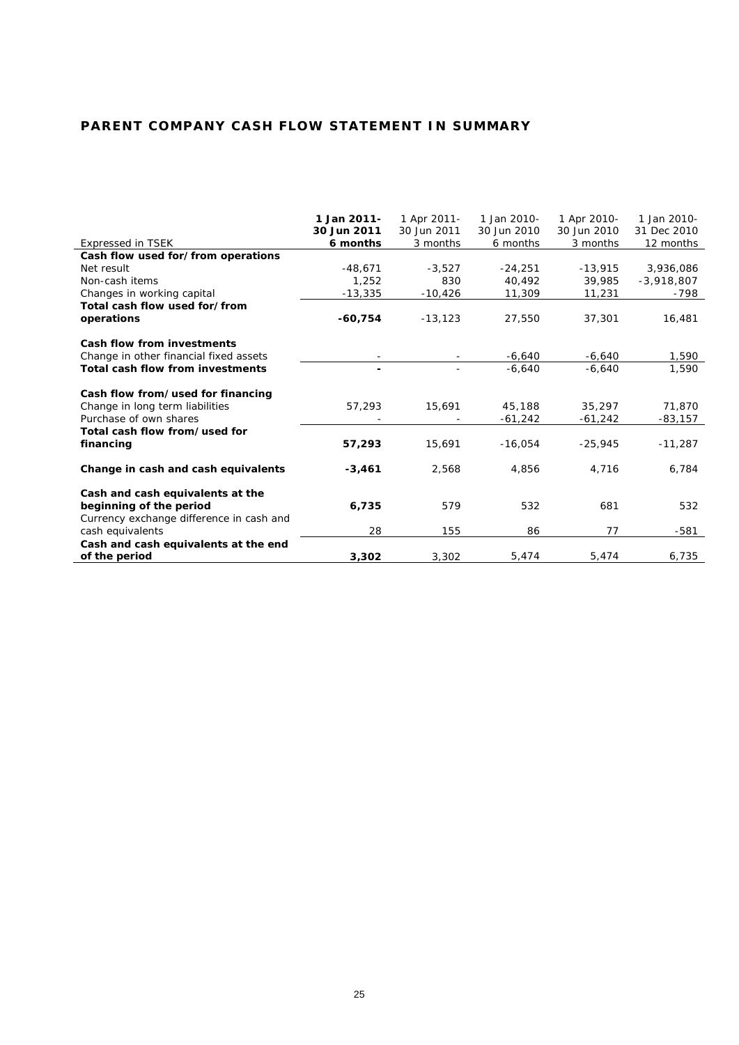## **PARENT COMPANY CASH FLOW STATEMENT IN SUMMARY**

|                                          | 1 Jan 2011- | 1 Apr 2011- | 1 Jan 2010- | 1 Apr 2010- | 1 Jan 2010-  |
|------------------------------------------|-------------|-------------|-------------|-------------|--------------|
|                                          | 30 Jun 2011 | 30 Jun 2011 | 30 Jun 2010 | 30 Jun 2010 | 31 Dec 2010  |
| <b>Expressed in TSEK</b>                 | 6 months    | 3 months    | 6 months    | 3 months    | 12 months    |
| Cash flow used for/from operations       |             |             |             |             |              |
| Net result                               | $-48.671$   | $-3,527$    | $-24,251$   | $-13,915$   | 3,936,086    |
| Non-cash items                           | 1.252       | 830         | 40,492      | 39,985      | $-3,918,807$ |
| Changes in working capital               | $-13,335$   | $-10,426$   | 11,309      | 11,231      | $-798$       |
| Total cash flow used for/from            |             |             |             |             |              |
| operations                               | $-60,754$   | $-13,123$   | 27,550      | 37,301      | 16,481       |
| Cash flow from investments               |             |             |             |             |              |
| Change in other financial fixed assets   |             |             | $-6,640$    | $-6,640$    | 1,590        |
| <b>Total cash flow from investments</b>  |             |             | $-6,640$    | $-6.640$    | 1,590        |
| Cash flow from/used for financing        |             |             |             |             |              |
| Change in long term liabilities          | 57,293      | 15,691      | 45,188      | 35,297      | 71,870       |
| Purchase of own shares                   |             |             | -61,242     | $-61,242$   | -83,157      |
| Total cash flow from/used for            |             |             |             |             |              |
| financing                                | 57,293      | 15,691      | $-16,054$   | $-25,945$   | $-11,287$    |
| Change in cash and cash equivalents      | $-3,461$    | 2,568       | 4,856       | 4,716       | 6,784        |
| Cash and cash equivalents at the         |             |             |             |             |              |
| beginning of the period                  | 6,735       | 579         | 532         | 681         | 532          |
| Currency exchange difference in cash and |             |             |             |             |              |
| cash equivalents                         | 28          | 155         | 86          | 77          | $-581$       |
| Cash and cash equivalents at the end     |             |             |             |             |              |
| of the period                            | 3,302       | 3,302       | 5,474       | 5,474       | 6,735        |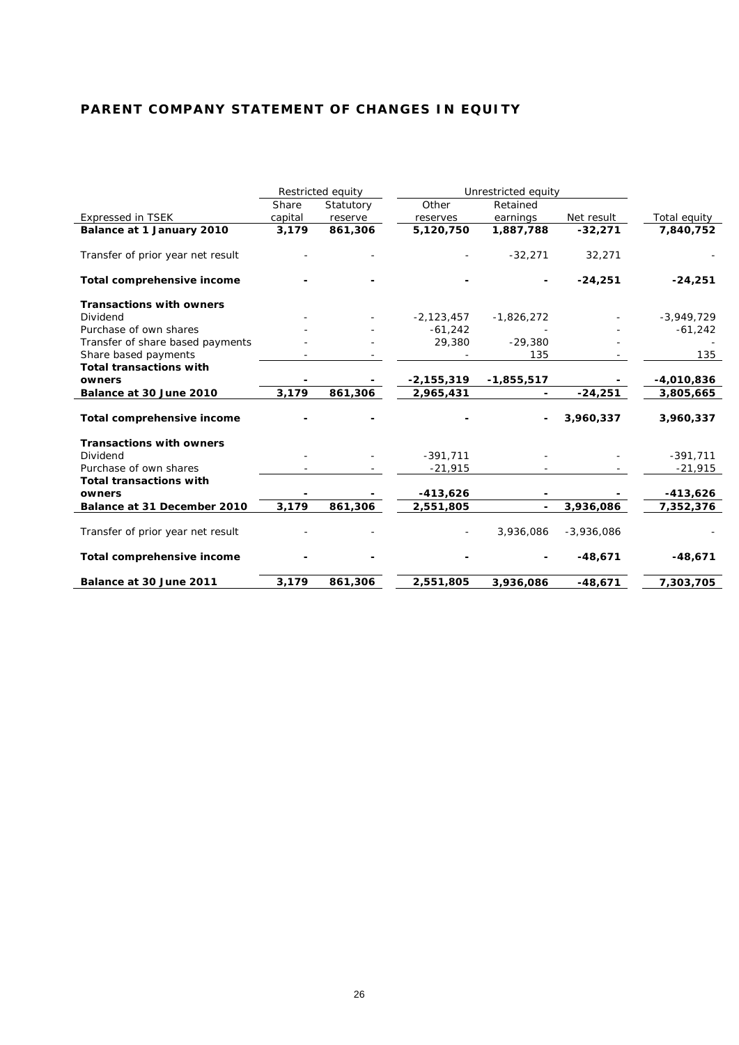## **PARENT COMPANY STATEMENT OF CHANGES IN EQUITY**

|         |           |                | Unrestricted equity      |                        |                                  |
|---------|-----------|----------------|--------------------------|------------------------|----------------------------------|
| Share   | Statutory | Other          | Retained                 |                        |                                  |
| capital | reserve   | reserves       | earnings                 | Net result             | Total equity                     |
| 3,179   | 861,306   | 5,120,750      | 1,887,788                | $-32,271$              | 7,840,752                        |
|         |           |                |                          |                        |                                  |
|         |           |                |                          |                        |                                  |
|         |           |                |                          | $-24,251$              | $-24,251$                        |
|         |           |                |                          |                        |                                  |
|         |           | $-2, 123, 457$ | $-1,826,272$             |                        | $-3,949,729$                     |
|         |           | $-61,242$      |                          |                        | $-61,242$                        |
|         |           | 29,380         | $-29,380$                |                        |                                  |
|         |           |                | 135                      |                        | 135                              |
|         |           |                |                          |                        |                                  |
|         |           | $-2,155,319$   | $-1,855,517$             |                        | -4,010,836                       |
| 3,179   | 861,306   | 2,965,431      | $\overline{\phantom{a}}$ | $-24,251$              | 3,805,665                        |
|         |           |                |                          |                        | 3,960,337                        |
|         |           |                |                          |                        |                                  |
|         |           |                |                          |                        |                                  |
|         |           | $-391,711$     |                          |                        | $-391,711$                       |
|         |           | $-21,915$      |                          |                        | $-21,915$                        |
|         |           |                |                          |                        |                                  |
|         |           | -413,626       |                          |                        | -413,626                         |
| 3,179   | 861,306   | 2,551,805      | $\blacksquare$           | 3,936,086              | 7,352,376                        |
|         |           |                |                          |                        |                                  |
|         |           |                | 3,936,086                | $-3,936,086$           |                                  |
|         |           |                |                          | $-48,671$              | $-48,671$                        |
|         | 861,306   |                |                          |                        | 7,303,705                        |
|         | 3,179     |                | 2,551,805                | $-32,271$<br>3,936,086 | 32,271<br>3,960,337<br>$-48,671$ |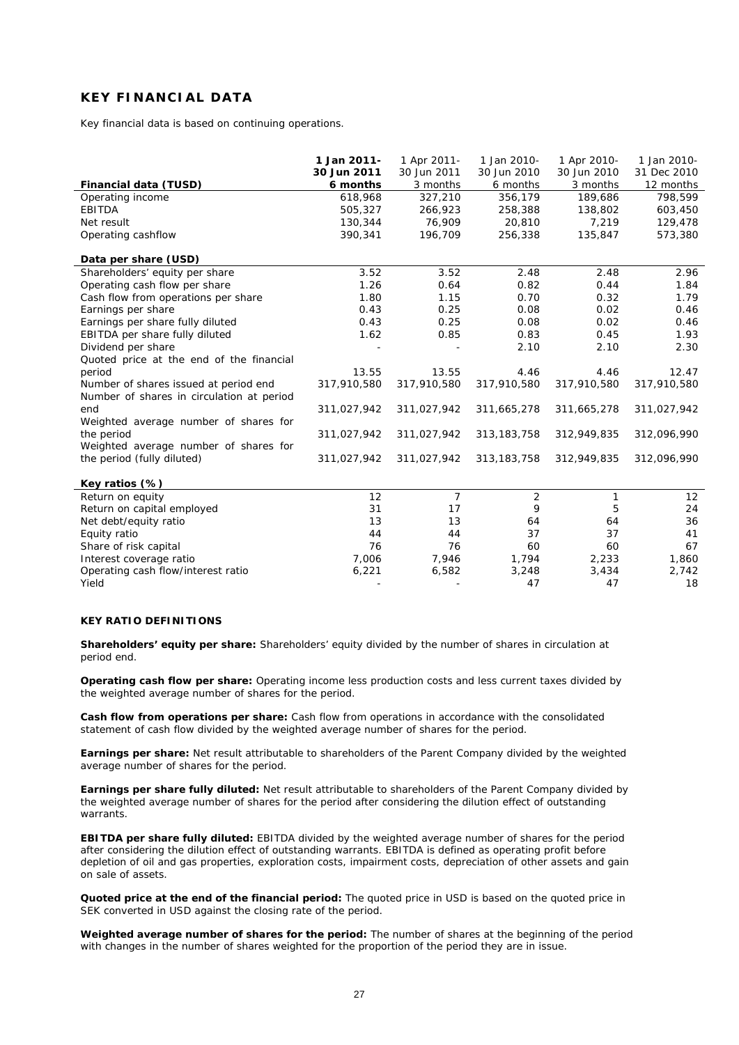## **KEY FINANCIAL DATA**

Key financial data is based on continuing operations.

|                                           | 1 Jan 2011-<br>30 Jun 2011 | 1 Apr 2011-<br>30 Jun 2011 | 1 Jan 2010-<br>30 Jun 2010 | 1 Apr 2010-<br>30 Jun 2010 | 1 Jan 2010-<br>31 Dec 2010 |
|-------------------------------------------|----------------------------|----------------------------|----------------------------|----------------------------|----------------------------|
| Financial data (TUSD)                     | 6 months                   | 3 months                   | 6 months                   | 3 months                   | 12 months                  |
| Operating income                          | 618,968                    | 327,210                    | 356,179                    | 189,686                    | 798,599                    |
| EBITDA                                    | 505,327                    | 266,923                    | 258,388                    | 138,802                    | 603,450                    |
| Net result                                | 130,344                    | 76,909                     | 20,810                     | 7,219                      | 129,478                    |
| Operating cashflow                        | 390,341                    | 196,709                    | 256,338                    | 135,847                    | 573,380                    |
| Data per share (USD)                      |                            |                            |                            |                            |                            |
| Shareholders' equity per share            | 3.52                       | 3.52                       | 2.48                       | 2.48                       | 2.96                       |
| Operating cash flow per share             | 1.26                       | 0.64                       | 0.82                       | 0.44                       | 1.84                       |
| Cash flow from operations per share       | 1.80                       | 1.15                       | 0.70                       | 0.32                       | 1.79                       |
| Earnings per share                        | 0.43                       | 0.25                       | 0.08                       | 0.02                       | 0.46                       |
| Earnings per share fully diluted          | 0.43                       | 0.25                       | 0.08                       | 0.02                       | 0.46                       |
| EBITDA per share fully diluted            | 1.62                       | 0.85                       | 0.83                       | 0.45                       | 1.93                       |
| Dividend per share                        |                            |                            | 2.10                       | 2.10                       | 2.30                       |
| Quoted price at the end of the financial  |                            |                            |                            |                            |                            |
| period                                    | 13.55                      | 13.55                      | 4.46                       | 4.46                       | 12.47                      |
| Number of shares issued at period end     | 317,910,580                | 317,910,580                | 317,910,580                | 317,910,580                | 317,910,580                |
| Number of shares in circulation at period |                            |                            |                            |                            |                            |
| end                                       | 311,027,942                | 311,027,942                | 311,665,278                | 311,665,278                | 311,027,942                |
| Weighted average number of shares for     |                            |                            |                            |                            |                            |
| the period                                | 311,027,942                | 311,027,942                | 313, 183, 758              | 312,949,835                | 312,096,990                |
| Weighted average number of shares for     |                            |                            |                            |                            |                            |
| the period (fully diluted)                | 311,027,942                | 311,027,942                | 313, 183, 758              | 312,949,835                | 312,096,990                |
| Key ratios (%)                            |                            |                            |                            |                            |                            |
| Return on equity                          | 12                         | $\overline{7}$             | $\overline{2}$             | 1                          | 12                         |
| Return on capital employed                | 31                         | 17                         | 9                          | 5                          | 24                         |

| 21    |       |             |       | 24    |
|-------|-------|-------------|-------|-------|
| 13    | 13    | 64          | 64    | 36    |
| 44    | 44    | 37          | 37    | 41    |
| 76    | 76    | 60          | 60    | 67    |
| 7.006 | 7.946 | 1.794       | 2.233 | 1,860 |
| 6.221 | 6,582 | 3,248       | 3.434 | 2,742 |
|       |       | $4^{\circ}$ | 47    | 18    |
|       |       |             |       |       |

## **KEY RATIO DEFINITIONS**

**Shareholders' equity per share:** Shareholders' equity divided by the number of shares in circulation at period end.

**Operating cash flow per share:** Operating income less production costs and less current taxes divided by the weighted average number of shares for the period.

**Cash flow from operations per share:** Cash flow from operations in accordance with the consolidated statement of cash flow divided by the weighted average number of shares for the period.

**Earnings per share:** Net result attributable to shareholders of the Parent Company divided by the weighted average number of shares for the period.

**Earnings per share fully diluted:** Net result attributable to shareholders of the Parent Company divided by the weighted average number of shares for the period after considering the dilution effect of outstanding warrants.

**EBITDA per share fully diluted:** EBITDA divided by the weighted average number of shares for the period after considering the dilution effect of outstanding warrants. EBITDA is defined as operating profit before depletion of oil and gas properties, exploration costs, impairment costs, depreciation of other assets and gain on sale of assets.

**Quoted price at the end of the financial period:** The quoted price in USD is based on the quoted price in SEK converted in USD against the closing rate of the period.

**Weighted average number of shares for the period:** The number of shares at the beginning of the period with changes in the number of shares weighted for the proportion of the period they are in issue.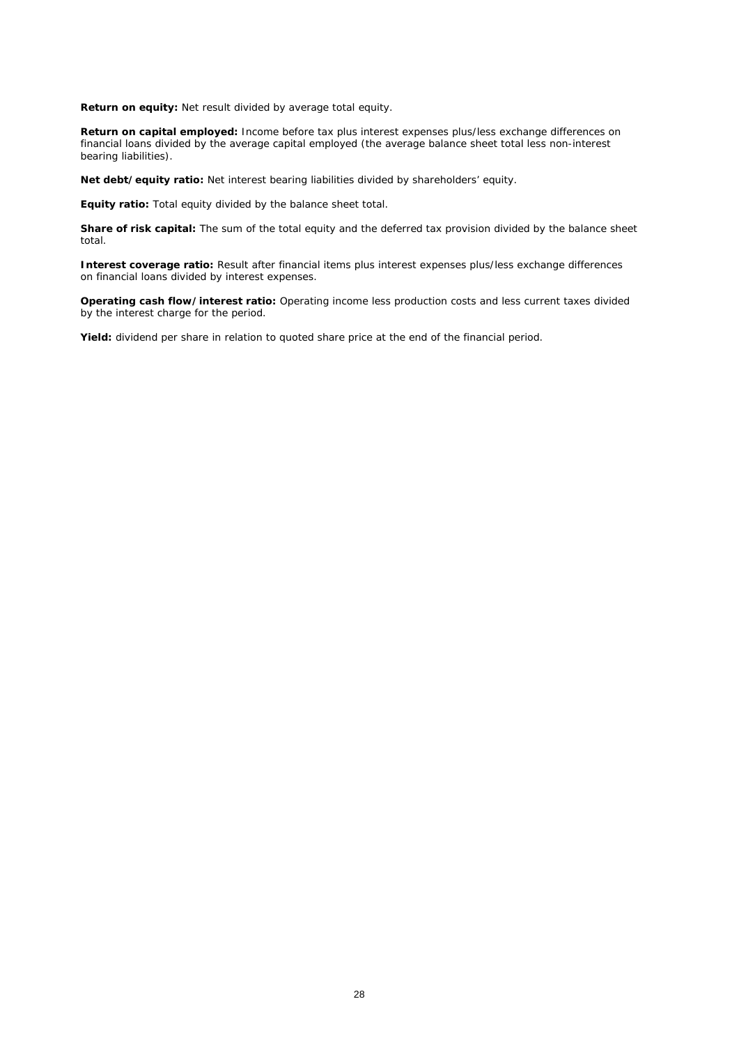**Return on equity:** Net result divided by average total equity.

**Return on capital employed:** Income before tax plus interest expenses plus/less exchange differences on financial loans divided by the average capital employed (the average balance sheet total less non-interest bearing liabilities).

**Net debt/equity ratio:** Net interest bearing liabilities divided by shareholders' equity.

**Equity ratio:** Total equity divided by the balance sheet total.

**Share of risk capital:** The sum of the total equity and the deferred tax provision divided by the balance sheet total.

**Interest coverage ratio:** Result after financial items plus interest expenses plus/less exchange differences on financial loans divided by interest expenses.

**Operating cash flow/interest ratio:** Operating income less production costs and less current taxes divided by the interest charge for the period.

**Yield:** dividend per share in relation to quoted share price at the end of the financial period.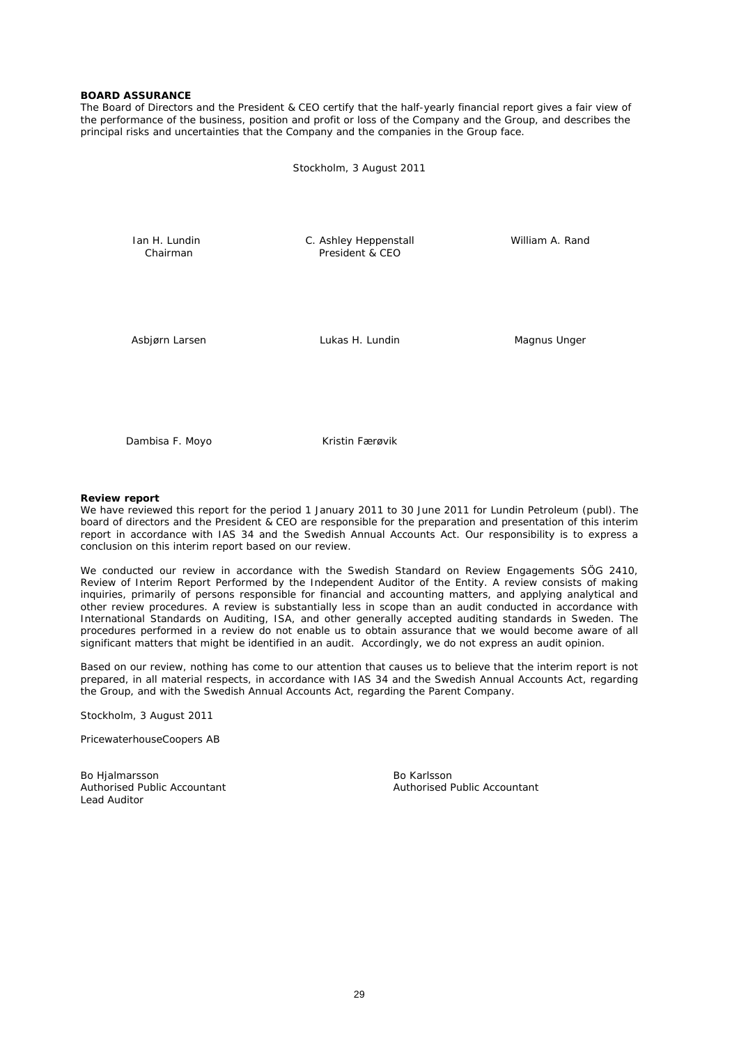#### **BOARD ASSURANCE**

The Board of Directors and the President & CEO certify that the half-yearly financial report gives a fair view of the performance of the business, position and profit or loss of the Company and the Group, and describes the principal risks and uncertainties that the Company and the companies in the Group face.

Stockholm, 3 August 2011

Ian H. Lundin Chairman

C. Ashley Heppenstall President & CEO

William A. Rand

Asbjørn Larsen and Lukas H. Lundin Magnus Unger

Dambisa F. Moyo Kristin Færøvik

#### **Review report**

We have reviewed this report for the period 1 January 2011 to 30 June 2011 for Lundin Petroleum (publ). The board of directors and the President & CEO are responsible for the preparation and presentation of this interim report in accordance with IAS 34 and the Swedish Annual Accounts Act. Our responsibility is to express a conclusion on this interim report based on our review.

We conducted our review in accordance with the Swedish Standard on Review Engagements SÖG 2410, Review of Interim Report Performed by the Independent Auditor of the Entity. A review consists of making inquiries, primarily of persons responsible for financial and accounting matters, and applying analytical and other review procedures. A review is substantially less in scope than an audit conducted in accordance with International Standards on Auditing, ISA, and other generally accepted auditing standards in Sweden. The procedures performed in a review do not enable us to obtain assurance that we would become aware of all significant matters that might be identified in an audit. Accordingly, we do not express an audit opinion.

Based on our review, nothing has come to our attention that causes us to believe that the interim report is not prepared, in all material respects, in accordance with IAS 34 and the Swedish Annual Accounts Act, regarding the Group, and with the Swedish Annual Accounts Act, regarding the Parent Company.

Stockholm, 3 August 2011

PricewaterhouseCoopers AB

Bo Hjalmarsson<br>
Authorised Public Accountant<br>
Authorised I Lead Auditor

Authorised Public Accountant